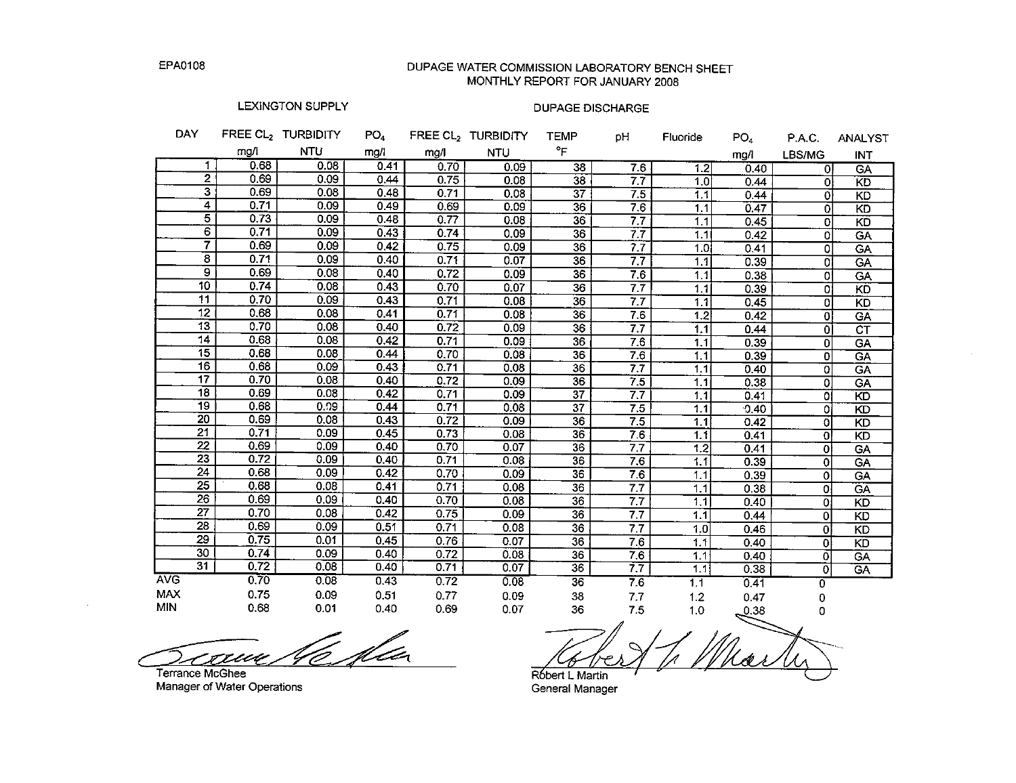## DUPAGE WATER COMMISSION LABORATORY BENCH SHEET MONTHLY REPORT FOR JANUARY 2008

## LEXINGTON SUPPLY

| <b>DAY</b> |                         |      | FREE CL <sub>2</sub> TURBIDITY | PO <sub>4</sub> |      | FREE CL2 TURBIDITY | <b>TEMP</b>     | pН  | Fluoride | PO <sub>4</sub> | P.A.C.         | ANALYST                |
|------------|-------------------------|------|--------------------------------|-----------------|------|--------------------|-----------------|-----|----------|-----------------|----------------|------------------------|
|            |                         | mg/l | <b>NTU</b>                     | mg/l            | mg/l | <b>NTU</b>         | °F              |     |          | mg/l            | LBS/MG         | INT                    |
|            | 1                       | 0.68 | 0.08                           | 0.41            | 0.70 | 0.09               | 38              | 7.6 | 1.2      | 0.40            | οI             | GA                     |
|            | $\mathbf{2}$            | 0.69 | 0.09                           | 0.44            | 0.75 | 0.08               | 38              | 7.7 | 1.0      | 0.44            | ΩI             | KD                     |
|            | 3                       | 0.69 | 0.08                           | 0.48            | 0.71 | 0.08               | 37              | 7.5 | 1.1      | 0.44            | $\Omega$       | <b>KD</b>              |
|            | 4                       | 0.71 | 0.09                           | 0.49            | 0.69 | 0.09               | 36              | 7.6 | 1.1      | 0.47            | $\Omega$       | KD                     |
|            | 5                       | 0.73 | 0.09                           | 0.48            | 0.77 | 0.08               | 36              | 7.7 | 1.1      | 0.45            | $\Omega$       | KD                     |
|            | 6                       | 0.71 | 0.09                           | 0.43            | 0.74 | 0.09               | 36              | 7.7 | 1.1      | 0.42            | 0l             | GΑ                     |
|            | 7                       | 0.69 | 0.09                           | 0.42            | 0.75 | 0.09               | 36              | 77  | 1.0      | 0.41            | 0              | <b>GA</b>              |
|            | $\overline{\mathbf{8}}$ | 0.71 | 0.09                           | 0.40            | 0.71 | 0.07               | 36              | 7.7 | 1.1      | 0.39            | οI             | GΑ                     |
|            | 9                       | 0.69 | 0.08                           | 0.40            | 0.72 | 0.09               | $\overline{36}$ | 7.6 | 1.1      | 0.38            | οl             | GA                     |
|            | 10                      | 0.74 | 0.08                           | 0.43            | 0.70 | 0.07               | 36              | 7.7 | 1.1      | 0.39            | ΩI             | KD                     |
|            | 11                      | 0.70 | 0.09                           | 0.43            | 0.71 | 0.08               | $\overline{36}$ | 7.7 | 1.1      | 0.45            | οI             | <b>KD</b>              |
|            | 12                      | 0.68 | 0.08                           | 0.41            | 0.71 | 0.08               | $\overline{36}$ | 7.6 | 1.2      | 0.42            | $\Omega$       | GA                     |
|            | 13                      | 0.70 | 0.08                           | 0.40            | 0.72 | 0.09               | $\overline{36}$ | 7.7 | 1.1      | 0.44            | οl             | $\overline{\text{CT}}$ |
|            | 14                      | 0.68 | 0.08                           | 0.42            | 0.71 | 0.09               | 36              | 7.6 | 1.1      | 0.39            | $\overline{0}$ | GA                     |
|            | $\overline{15}$         | 0.68 | 0.08                           | 0.44            | 0.70 | 0.08               | $\overline{36}$ | 7.6 | 1.1      | 0.39            | 0l             | GA                     |
|            | 16                      | 0.68 | 0.09                           | 0.43            | 0.71 | 0.08               | 36              | 7.7 | 1.1      | 0.40            | 0l             | GA                     |
|            | $\overline{17}$         | 0.70 | 0.08                           | 0.40            | 0.72 | 0.09               | 36              | 7.5 | 1.1      | 0.38            | 0l             | GA                     |
|            | 18                      | 0.69 | 0.08                           | 0.42            | 0.71 | 0.09               | $\overline{37}$ | 7.7 | 1.1      | 0.41            | $\Omega$       | <b>KD</b>              |
|            | $\overline{19}$         | 0.68 | 0.09                           | 0.44            | 0.71 | 0.08               | $\overline{37}$ | 7.5 | 1.1      | 0.40            | οi             | KD                     |
|            | 20                      | 0.69 | 0.08                           | 0.43            | 0.72 | 0.09               | $\overline{36}$ | 7.5 | 1.1      | 0.42            | $\Omega$       | KD                     |
|            | $\overline{21}$         | 0.71 | 0.09                           | 0.45            | 0.73 | 0.08               | 36              | 7.6 | 1.1      | 0.41            | $\Omega$       | KD                     |
|            | $\overline{22}$         | 0.69 | 0.09                           | 0.40            | 0.70 | 0.07               | 36              | 7.7 | 1.2      | 0.41            | $\Omega$       | GΑ                     |
|            | $\overline{23}$         | 0.72 | 0.09                           | 0.40            | 0.71 | 0.08               | 36              | 7.6 | 1.1      | 0.39            | 0              | ĜΑ                     |
|            | $\overline{24}$         | 0.68 | 0.09                           | 0.42            | 0.70 | 0.09               | $\overline{36}$ | 7.6 | 1.1      | 0.39            | 0              | GA                     |
|            | $\overline{25}$         | 0.68 | 0.08                           | 0.41            | 0.71 | 0.08               | $\overline{36}$ | 7.7 | 1.1      | 0.38            | O.             | GA                     |
|            | 26                      | 0.69 | 0.09                           | 0.40            | 0.70 | 0.08               | 36              | 7.7 | 1.1      | 0.40            | O.             | <b>KD</b>              |
|            | $\overline{27}$         | 0.70 | 0.08                           | 0.42            | 0.75 | 0.09               | 36              | 7.7 | 1.1      | 0.44            | ol             | <b>KD</b>              |
|            | 28                      | 0.69 | 0.09                           | 0.51            | 0.71 | 0.08               | 36              | 7.7 | 1.0      | 0.46            | οl             | <b>KD</b>              |
|            | 29                      | 0.75 | 0.01                           | 0.45            | 0.76 | 0.07               | 36              | 7.6 | 1.1      | 0,40            | ٥ł             | KD                     |
|            | 30                      | 0.74 | 0.09                           | 0.40            | 0.72 | 0.08               | 36              | 7.6 | 1.1      | 0.40            | ٥I             | GA                     |
|            | $\overline{31}$         | 0.72 | 0.08                           | 0.40            | 0.71 | 0.07               | $\overline{36}$ | 77  | 1.1      | 0.38            | ٥l             | $G_A$                  |
| <b>AVG</b> |                         | 0.70 | 0.08                           | 0.43            | 0.72 | 0.08               | $\overline{36}$ | 7.6 | 1.1      | 0.41            | 0              |                        |
| <b>MAX</b> |                         | 0.75 | 0.09                           | 0.51            | 0.77 | 0.09               | 38              | 7.7 | 1.2      | 0.47            | 0              |                        |
| <b>MIN</b> |                         | 0.68 | 0.01                           | 0.40            | 0.69 | 0.07               | 36              | 7.5 | 1.0      | 0.38            |                |                        |

<u>46 fla</u> cau

Terrance McGhee Manager of Water Operations

Robert L Martin

General Manager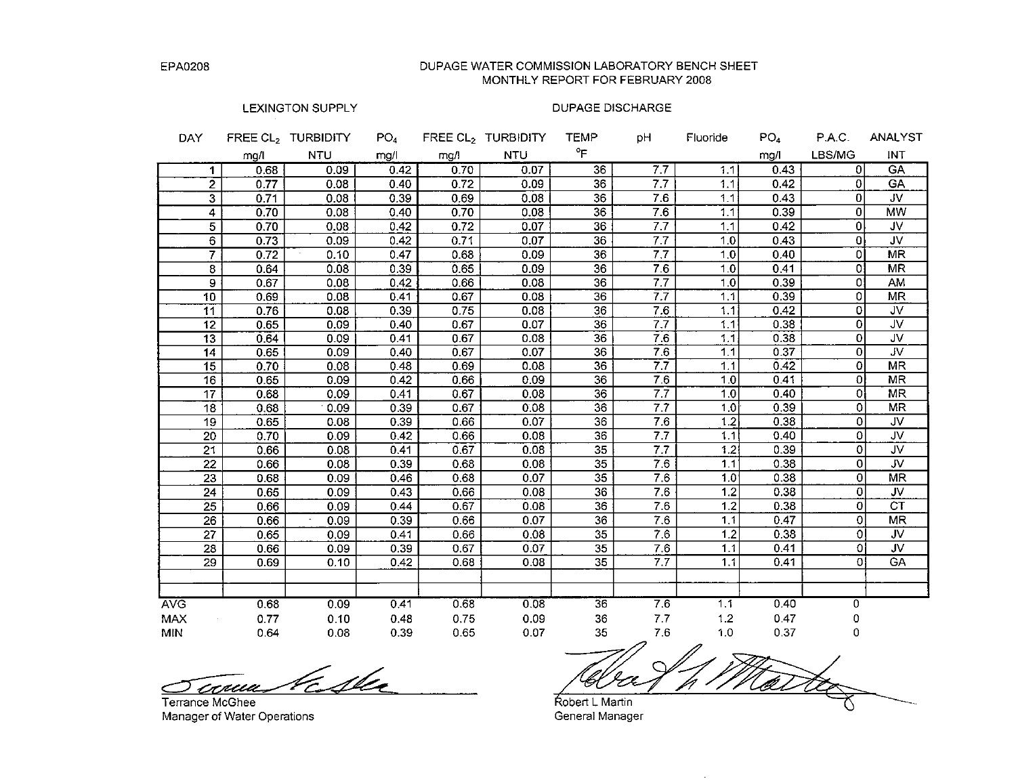DUPAGE WATER COMMISSION LABORATORY BENCH SHEET MONTHLY REPORT FOR FEBRUARY 2008

## LEXINGTON SUPPLY

| <b>DAY</b>               |              | FREE CL2 TURBIDITY | PO <sub>4</sub> |              | FREE $CL2$ TURBIDITY | <b>TEMP</b>     | pН               | Fluoride   | PO <sub>4</sub> | P.A.C.         | <b>ANALYST</b>          |
|--------------------------|--------------|--------------------|-----------------|--------------|----------------------|-----------------|------------------|------------|-----------------|----------------|-------------------------|
|                          | mg/l         | <b>NTU</b>         | mg/l            | mg/l         | <b>NTU</b>           | °F              |                  |            | mg/l            | LBS/MG         | INT                     |
| 1                        | 0.68         | 0.09               | 0.42            | 0.70         | 0.07                 | 36              | 7.7              | 1.1        | 0.43            | $\Omega$       | <b>GA</b>               |
| $\overline{2}$           | 0.77         | 0.08               | 0.40            | 0.72         | 0.09                 | 36              | 7.7              | 1.1        | 0.42            | 0              | GA                      |
| $\overline{\mathbf{3}}$  | 0.71         | 0.08               | 0.39            | 0.69         | 0.08                 | 36              | 7.6              | 1.1        | 0.43            | $\mathbf{0}$   | JV.                     |
| 4                        | 0.70         | 0.08               | 0.40            | 0.70         | 0.08                 | 36              | 7.6              | 1.1        | 0.39            | $\overline{0}$ | <b>MW</b>               |
| 5                        | 0.70         | 0.08               | 0.42            | 0.72         | 0.07                 | 36              | 7.7              | 1.1        | 0.42            | $\overline{0}$ | JV.                     |
| $6 \overline{6}$         | 0.73         | 0.09               | 0.42            | 0.71         | 0.07                 | 36              | 7.7              | 1.0        | 0.43            | $\overline{0}$ | <b>JV</b>               |
| $\overline{7}$           | 0.72         | 0.10               | 0.47            | 0.68         | 0.09                 | 36              | $\overline{7.7}$ | 1.0        | 0.40            | οI             | <b>MR</b>               |
| 8                        | 0.64         | 0.08               | 0.39            | 0.65         | 0.09                 | $\overline{36}$ | 76               | 1.0        | 0.41            | O.             | MR                      |
| 9                        | 0.67         | 0.08               | 0.42            | 0.66         | 0.08                 | $\overline{36}$ | 7.7              | 1.0        | 0.39            | ٥I             | AM                      |
| 10                       | 0.69         | 0.08               | 0.41            | 0.67         | 0.08                 | $\overline{36}$ | 7.7              | 1.1        | 0.39            | 0              | MR                      |
| 11                       | 0.76         | 0.08               | 0.39            | 0.75         | 0.08                 | 36              | 7.6              | 1.1        | 0.42            | 0              | <b>JV</b>               |
| 12                       | 0.65         | 0.09               | 0.40            | 0.67         | 0.07                 | 36              | 7.7              | 1.1        | 0.38            | $\mathbf{0}$   | <b>JV</b>               |
| 13                       | 0.64         | 0.09               | 0.41            | 0.67         | 0.08                 | 36              | 76               | 1.1        | 0.38            | $\mathbf{0}$   | JV                      |
| 14                       | 0.65         | 0.09               | 0.40            | 0.67         | 0.07                 | 36              | $\overline{7.6}$ | 1.1        | 0.37            | $\mathbf{0}$   | $\overline{\mathsf{N}}$ |
| $\overline{15}$          | 0.70         | 0.08               | 0.48            | 0.69         | 0.08                 | 36              | $\overline{77}$  | 1.1        | 0.42            | 0              | <b>MR</b>               |
| 16                       | 0.65         | 0.09               | 0.42            | 0.66         | 0.09                 | 36              | 7.6              | 1.0        | 0.41            | $\overline{0}$ | MR                      |
| 17                       | 0.68         | 0.09               | 0.41            | 0.67         | 0.08                 | 36              | $\overline{7.7}$ | 1.0        | 0.40            | 0              | MR                      |
| 18                       | 0.68         | 0.09               | 0.39            | 0.67         | 0.08                 | 36              | $\overline{7.7}$ | 1.0        | 0.39            | 0              | <b>MR</b>               |
| $\overline{19}$          | 0.65         | 0.08               | 0.39            | 0.66         | 0.07                 | 36              | 7.6              | 1.2        | 0.38            | 0              | JV                      |
| $\overline{20}$          | 0.70         | 0.09               | 0.42            | 0.66         | 0.08                 | $\overline{36}$ | 7.7              | 1.1        | 0.40            | $\mathbf{O}$   | $\overline{\mathsf{v}}$ |
| $\overline{21}$          | 0.66         | 0.08               | 0.41            | 0.67         | 0.08                 | 35              | 7.7              | 1,2        | 0.39            | $\mathbf{O}$   | <b>JV</b>               |
| $\overline{22}$          | 0.66         | 0.08               | 0.39            | 0.68         | 0.08                 | $\overline{35}$ | 7.6              | 1.1        | 0.38            | $\mathbf 0$    | $\overline{\mathsf{v}}$ |
| $\overline{23}$          | 0.68         | 0.09               | 0.46            | 0.68         | 0.07                 | $\overline{35}$ | 7.6              | 1.0        | 0.38            | $\overline{0}$ | MR                      |
| 24                       | 0.65         | 0.09               | 0.43            | 0.66         | 0.08                 | 36              | 7.6              | 1.2        | 0.38            | $\mathbf 0$    | JV                      |
| 25                       | 0.66         | 0.09               | 0.44            | 0.67         | 0.08                 | 36              | 7.6              | 1.2        | 0.38            | $\overline{0}$ | <b>CT</b>               |
| 26                       | 0.66         | 0.09               | 0.39            | 0.66         | 0.07                 | 36              | 7.6              | 1.1        | 0.47            | $\Omega$       | $\overline{\text{MR}}$  |
| 27                       | 0.65         | 0.09               | 0.41            | 0.66         | 0.08                 | $\overline{35}$ | 7.6              | 1.2        | 0.38            | $\Omega$       | <b>JV</b>               |
| 28                       | 0.66         | 0.09               | 0.39            | 0.67         | 0.07                 | 35              | 7.6              | 1.1        | 0.41            | Οl             | JV                      |
| 29                       | 0.69         | 0.10               | 0.42            | 0.68         | 0.08                 | $\overline{35}$ | 7.7              | 1.1        | 0.41            | οl             | GA                      |
|                          |              |                    |                 |              |                      |                 |                  |            |                 |                |                         |
|                          |              |                    |                 | 0.68         |                      | $\overline{36}$ | 7.6              |            | 0.40            |                |                         |
| <b>AVG</b>               | 0.68         | 0.09               | 0.41            |              | 0.08                 |                 | 7.7              | 1.1<br>1.2 | 0.47            | 0              |                         |
| <b>MAX</b><br><b>MIN</b> | 0.77<br>0.64 | 0.10<br>0.08       | 0.48<br>0.39    | 0.75<br>0.65 | 0.09<br>0.07         | 36<br>35        | 7.6              | 1.0        | 0.37            | 0<br>0         |                         |
|                          |              |                    |                 |              |                      |                 |                  |            |                 |                |                         |

Kester <u>Sconua</u> Terrance McGhee

Manager of Water Operations

Martez Robert L Martin

General Manager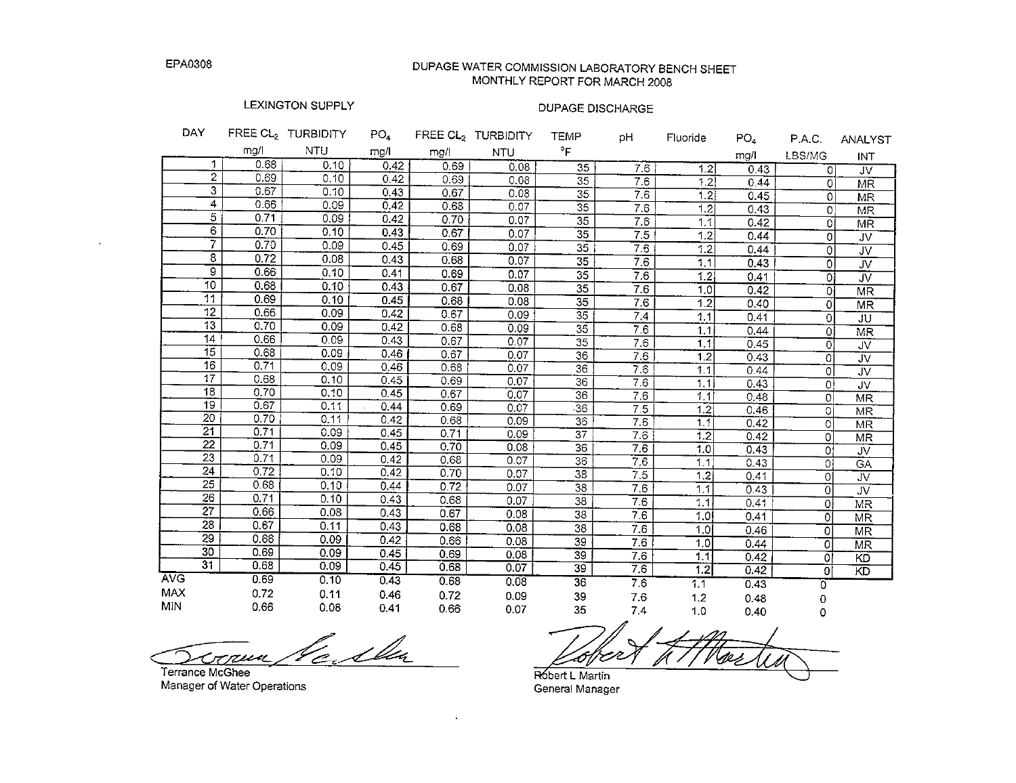## DUPAGE WATER COMMISSION LABORATORY BENCH SHEET MONTHLY REPORT FOR MARCH 2008

## LEXINGTON SUPPLY

# **DUPAGE DISCHARGE**

| <b>DAY</b> |                 |      | FREE CL <sub>2</sub> TURBIDITY | PO <sub>4</sub> |      | FREE CL <sub>2</sub> TURBIDITY | <b>TEMP</b>     | рH               | Fluoride         | PO <sub>4</sub> | P.A.C.   | ANALYST                |
|------------|-----------------|------|--------------------------------|-----------------|------|--------------------------------|-----------------|------------------|------------------|-----------------|----------|------------------------|
|            |                 | mg/l | <b>NTU</b>                     | mg/l            | mg/! | <b>NTU</b>                     | °F              |                  |                  | mg/l            | LBS/MG   | INT                    |
|            | 1               | 0.68 | 0.10                           | 0.42            | 0.69 | 0.08                           | 35              | 7.6              | 1.2              | 0.43            | Οİ       | JV                     |
|            | $\overline{2}$  | 0.69 | 0.10                           | 0.42            | 0.69 | 0.08                           | $\overline{35}$ | 7.6              | 1.2              | 0.44            | 0        | <b>MR</b>              |
|            | 3               | 0.67 | 0.10                           | 0.43            | 0.67 | 0.08                           | $\overline{35}$ | 7.6              | 1.2              | 0.45            | $\Omega$ | $\overline{\text{MR}}$ |
|            | 4               | 0.66 | 0.09                           | 0.42            | 0.68 | 0.07                           | $\overline{35}$ | 7.6              | 1.2              | 0.43            | $\Omega$ | <b>MR</b>              |
|            | 5               | 0.71 | 0.09                           | 0.42            | 0.70 | 0.07                           | $\overline{35}$ | 7.6              | 1.1              | 0.42            | 0        | $\overline{\text{MR}}$ |
|            | 6               | 0.70 | 0.10                           | 0.43            | 0.67 | 0.07                           | $\overline{35}$ | 7.5              | 1.2              | 0.44            | 0        | <b>JV</b>              |
|            | 7               | 0.70 | 0.09                           | 0.45            | 0.69 | 0.07                           | $\overline{35}$ | 7.6              | 1.2              | 0.44            | 0        | JV                     |
|            | 8               | 0.72 | 0.08                           | 0.43            | 0.68 | 0.07                           | $\overline{35}$ | 7.6              | 1.1              | 0.43            | 0        | JV                     |
|            | 9               | 0.66 | 0.10                           | 0.41            | 0.69 | 0.07                           | $\overline{35}$ | 7.6              | 1.2              | 0.41            | 0l       | JV                     |
|            | 10              | 0.68 | 0.10                           | 0.43            | 0.67 | 0.08                           | 35              | 7.6              | 1.0              | 0.42            | Οİ       | <b>MR</b>              |
|            | 11              | 0.69 | 0.10                           | 0.45            | 0.68 | 0.08                           | $\overline{35}$ | 7.6              | $\overline{1.2}$ | 0.40            | 0        | MR                     |
|            | 12              | 0.66 | 0.09                           | 0.42            | 0.67 | 0.09                           | $\overline{35}$ | 7.4              | 1.1              | 0.41            | 0        | JU                     |
|            | 13              | 0.70 | 0.09                           | 0.42            | 0.68 | 0.09                           | $\overline{35}$ | 7.6              | 1.1              | 0.44            | Οl       | MR                     |
|            | 14              | 0.66 | 0.09                           | 0.43            | 0.67 | 0.07                           | $\overline{35}$ | 7.6              | 1.1              | 0.45            | 0        | JV.                    |
|            | 15              | 0.68 | 0.09                           | 0.46            | 0.67 | 0.07                           | $\overline{36}$ | 7.6              | 1.2              | 0.43            | 0        | <b>JV</b>              |
|            | 16              | 0.71 | 0.09                           | 0.46            | 0.68 | 0.07                           | $\overline{36}$ | 7.6              | 1.1              | 0.44            | $\circ$  | JV                     |
|            | 17              | 0.68 | 0.10                           | 0.45            | 0.69 | 0.07                           | $\overline{36}$ | 7.6              | 1.1              | 0.43            | Οİ       | JV                     |
|            | 18              | 0.70 | 0.10                           | 0.45            | 0.67 | 0.07                           | $\overline{36}$ | 7.6              | 1.1              | 0.48            | $\Omega$ | <b>MR</b>              |
|            | 19              | 0.67 | 0.11                           | 0.44            | 0.69 | 0.07                           | $\overline{36}$ | 7.5              | 1.2              | 0.46            | $\Omega$ | MR                     |
|            | 20              | 0.70 | 0.11                           | 0.42            | 0.68 | 0.09                           | 36              | 7.6              | 1.1              | 0.42            | $\Omega$ | MR                     |
|            | 21              | 0.71 | 0.09                           | 0.45            | 0.71 | 0.09                           | 37              | 7.6              | 1.2              | 0.42            | $\Omega$ | <b>MR</b>              |
|            | 22              | 0.71 | 0.09                           | 0.45            | 0.70 | 0.08                           | $\overline{36}$ | $7.\overline{6}$ | 1.0              | 0.43            | Ωł       | <b>JV</b>              |
|            | 23              | 0.71 | 0.09                           | 0.42            | 0.68 | 0.07                           | 36              | 7.6              | 1.1              | 0.43            | Οİ       | CA                     |
|            | $\overline{24}$ | 0.72 | 0.10                           | 0.42            | 0.70 | 0.07                           | 38              | 7.5              | 1.2              | 0.41            | Οl       | JV                     |
|            | 25              | 0.68 | 0.10                           | 0.44            | 0.72 | 0.07                           | $\overline{38}$ | 7.6              | 1.1              | 0.43            | $\Omega$ | JV                     |
|            | 26              | 0.71 | 0.10                           | 0.43            | 0.68 | 0.07                           | $\overline{38}$ | 7.6              | 1.1              | 0.41            | Οl       | MR                     |
|            | $\overline{27}$ | 0.66 | 0.08                           | 0.43            | 0.67 | 0.08                           | 38              | 7.6              | 1.0              | 0.41            | 0        | MR                     |
|            | 28              | 0.67 | 0.11                           | 0.43            | 0.68 | 0.08                           | 38              | 7.6              | 1.0              | 0.46            | 0        | <b>MR</b>              |
|            | 29              | 0.66 | 0.09                           | 0.42            | 0.66 | 0.08                           | 39              | 76               | 1,0              | 0.44            | 0        | MR                     |
|            | 30              | 0.69 | 0.09                           | 0.45            | 0.69 | 0.08                           | $\overline{39}$ | 7.6              | 1.1              | 0.42            | Οl       | KD                     |
|            | $\overline{31}$ | 0.68 | 0.09                           | 0.45            | 0.68 | 0.07                           | 39              | 7.6              | 1.2              | 0.42            | $\Omega$ | KD                     |
| <b>AVG</b> |                 | 0.69 | 0.10                           | 0.43            | 0.68 | 0.08                           | 36              | 7.6              | 1.1              | 0.43            | 0        |                        |
| <b>MAX</b> |                 | 0.72 | 0.11                           | 0.46            | 0.72 | 0.09                           | 39              | 7.6              | 1.2              | 0.48            | 0        |                        |
| <b>MIN</b> |                 | 0.66 | 0.08                           | 0.41            | 0.66 | 0.07                           | 35              | 7.4              | 1.0              | 0.40            | Ω        |                        |

<u>le i</u> ilu conun

Terrance McGhee Manager of Water Operations

Robert L Martin

General Manager

 $\mathcal{L}_{\mathcal{C}}$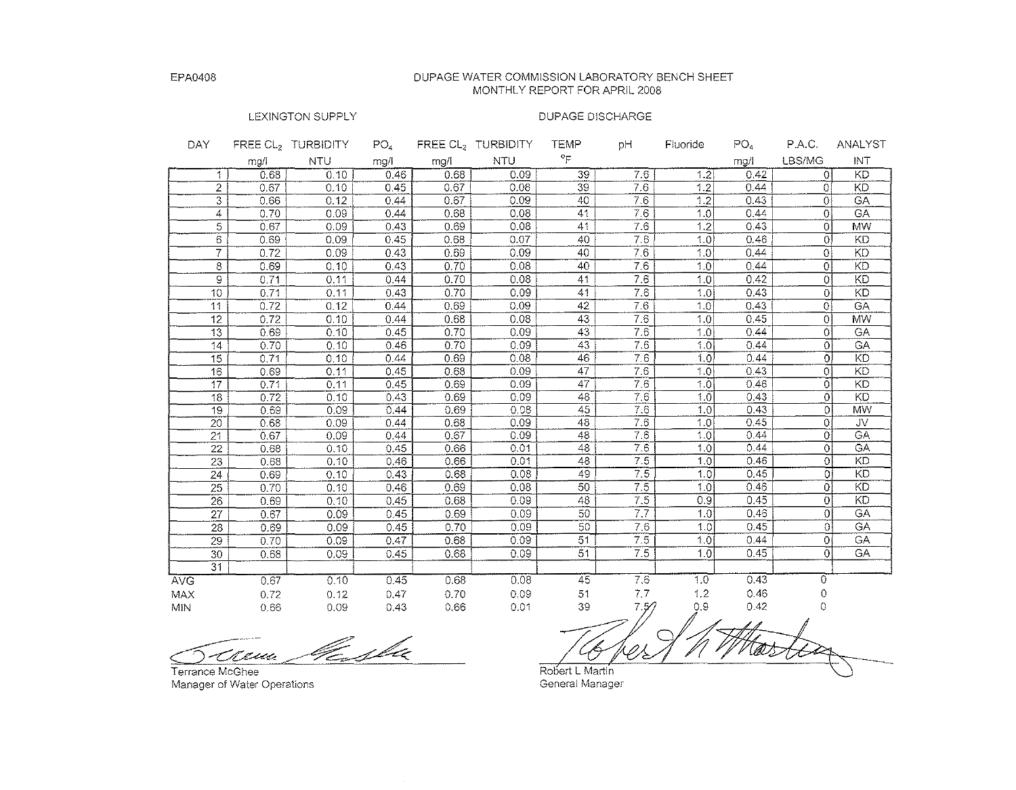#### DUPAGE WATER COMMISSION LABORATORY BENCH SHEET MONTHLY REPORT FOR APRIL 2008

#### LEXINGTON SUPPLY

| DAY.            |      | FREE CL, TURBIDITY | PO <sub>4</sub> |      | FREE CL <sub>2</sub> TURBIDITY | <b>TEMP</b>                     | рH               | Fluoride         | PO <sub>4</sub> | P.A.C.         | ANALYST         |
|-----------------|------|--------------------|-----------------|------|--------------------------------|---------------------------------|------------------|------------------|-----------------|----------------|-----------------|
|                 | mg/l | <b>NTU</b>         | mg/l            | mg/l | <b>NTU</b>                     | $\circ_{\overline{\mathsf{F}}}$ |                  |                  | mg/l            | LBS/MG         | INT             |
| 1               | 0.68 | 0.10               | 0.46            | 0.68 | 0.09                           | 39                              | 7.6              | 1.2              | 0.42            | Οl             | <b>KD</b>       |
| $\overline{2}$  | 0.67 | 0.10               | 0.45            | 0.67 | 0.08                           | 39                              | 7.6              | 1.2              | 0.44            | οI             | <b>KD</b>       |
| 3               | 0.66 | 0.12               | 0.44            | 0.67 | 0.09                           | 40                              | 7.6              | 1.2              | 0.43            | οl             | <b>GA</b>       |
| 4               | 0.70 | 0.09               | 0.44            | 0.68 | 0.08                           | 41                              | 7.6              | 1.0              | 0.44            | $\overline{0}$ | <b>GA</b>       |
| 5               | 0.67 | 0.09               | 0.43            | 0.69 | 0.08                           | 41                              | 7.6              | 1.2              | 0.43            | ō              | <b>MW</b>       |
| 6               | 0.69 | 0.09               | 0.45            | 0.68 | 0.07                           | 40                              | 7.6              | 1.0              | 0.46            | 0              | KD              |
| 7               | 0.72 | 0.09               | 0.43            | 0.69 | 0.09                           | 40                              | 7.6              | 1.0              | 0.44            | 0              | $\overline{KD}$ |
| 8               | 0.69 | 0.10               | 0.43            | 0.70 | 0.08                           | 40                              | 7.6              | 1.0              | 0.44            | $\overline{0}$ | KD              |
| 9               | 0.71 | 0.11               | 0.44            | 0.70 | 0.08                           | 41                              | 76               | 1.0              | 0.42            | 0              | <b>KD</b>       |
| 10              | 0.71 | 0.11               | 0.43            | 0.70 | 0.09                           | 41                              | 7.6              | 1.0              | 0.43            | 0              | KD              |
| 11              | 0.72 | 0.12               | 0.44            | 0.69 | 0.09                           | 42                              | 7.6              | 1.0              | 0.43            | Οĺ             | GA              |
| 12              | 0.72 | 0.10               | 0.44            | 0.68 | 0.08                           | 43                              | 7.6              | 1.0              | 0.45            | $\overline{0}$ | <b>MW</b>       |
| 13              | 0.69 | 0.10               | 0.45            | 0.70 | 0.09                           | 43                              | 7.6              | 1.0              | 0.44            | οl             | GA              |
| 14              | 0.70 | 0.10               | 0.46            | 0.70 | 0.09                           | 43                              | 7.6              | 1.0              | 0.44            | οl             | GA              |
| 15              | 0.71 | 0.10               | 0.44            | 0.69 | 0.08                           | 46                              | 7.6              | 1.01             | 0.44            | 0l             | KD              |
| 16              | 0.69 | 0.11               | 0.45            | 0.68 | 0.09                           | 47                              | 7.6              | 1.0              | 0.43            | οl             | KD              |
| 17              | 0.71 | 0.11               | 0.45            | 0.69 | 0.09                           | 47                              | 76               | 1.0              | 0.46            | 0              | KD              |
| 18              | 0.72 | 0.10               | 0.43            | 0.69 | 0.09                           | 48                              | 76               | 1.0              | 0.43            | Οl             | KD              |
| 19              | 0.69 | 0.09               | 0.44            | 0.69 | 0.08                           | 45                              | 7.6              | 1.0 <sup>1</sup> | 0.43            | οl             | MW              |
| 20              | 0.68 | 0.09               | 0.44            | 0.68 | 0.09                           | 48                              | 7.6              | 1.0              | 0.45            | 0              | JV.             |
| 21              | 0.67 | 0.09               | 0.44            | 0.67 | 0.09                           | 43                              | 7,6              | $1.\overline{0}$ | 0.44            | Öİ             | GA              |
| 22              | 0.68 | 0.10               | 0.45            | 0.66 | 0.01                           | 48                              | $\overline{76}$  | 1.01             | 0.44            | $\circ$        | GA              |
| 23              | 0.68 | 0.10               | 0.46            | 0.66 | 0.01                           | 48                              | 7.5              | 1.0 <sup>1</sup> | 0.46            | $\overline{O}$ | <b>KD</b>       |
| 24              | 0.69 | 0.10               | 0.43            | 0.68 | 0.08                           | 49                              | $\overline{7.5}$ | 1.0              | 0.45            | οl             | KD              |
| 25              | 0.70 | 0.10               | 0.46            | 0.69 | 0.08                           | 50 <sup>7</sup>                 | 7,5              | 1.0              | 0.46            | $\overline{0}$ | $\overline{KD}$ |
| 26              | 0.69 | 0.10               | 0.45            | 0.68 | 0.09                           | 48                              | 7.5              | 0.9              | 0.45            | 0l             | KD              |
| 27              | 0.67 | 0.09               | 0.45            | 0.69 | 0.09                           | 50                              | 77               | 1.0 <sup>1</sup> | 0.46            | $\Omega$       | GA              |
| 28              | 0.69 | 0.09               | 0.45            | 0.70 | 0.09                           | 50                              | 76               | 1.0              | 0.45            | Οl             | GA              |
| 29              | 0.70 | 0.09               | 0.47            | 0.68 | 0.09                           | 51                              | 7.5              | 1.01             | 0.44            | Οİ             | <b>GA</b>       |
| 30              | 0.68 | 0.09               | 0.45            | 0.68 | 0.09                           | 51                              | 7.5              | 1.0 <sup>1</sup> | 0.45            | Ωİ             | $\overline{GA}$ |
| $\overline{31}$ |      |                    |                 |      |                                |                                 |                  |                  |                 |                |                 |
| <b>AVG</b>      | 0.67 | 0.10               | 0.45            | 0.68 | 0.08                           | 45                              | 7.6              | 1.0              | 0.43            | $\overline{0}$ |                 |
| <b>MAX</b>      | 0.72 | 0.12               | 0.47            | 0.70 | 0.09                           | 51                              | 7.7              | 1.2              | 0.46            | 0              |                 |
| <b>MIN</b>      | 0.66 | 0.09               | 0.43            | 0.66 | 0.01                           | 39                              | 7.5/             | 0.9              | 0.42            | 0              |                 |

lfe, slu <u>t t</u>eun

**Terrance McGhee Manager of Water Operations** 

Robert L Martin

**General Manager**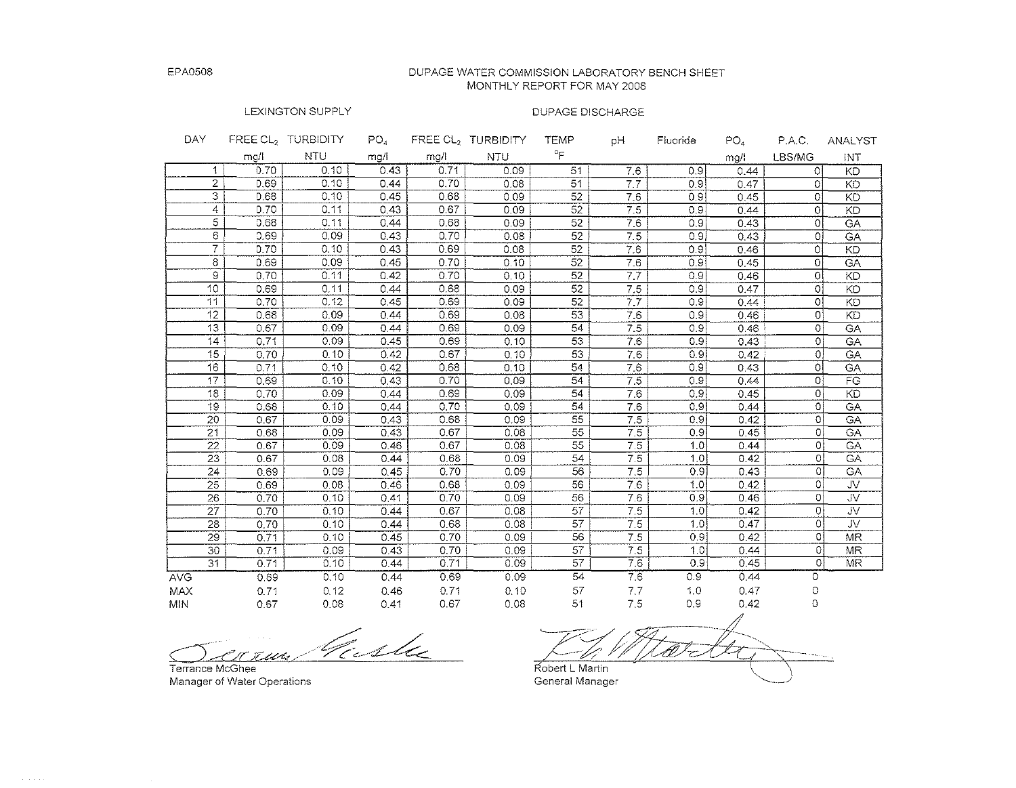DUPAGE WATER COMMISSION LABORATORY BENCH SHEET MONTHLY REPORT FOR MAY 2008

## LEXINGTON SUPPLY

| DAY.            |      | FREE CL <sub>2</sub> TURBIDITY | PO <sub>a</sub> |      | FREE CL, TURBIDITY | TEMP            | ЫH  | Fluoride         | PO <sub>4</sub> | P.A.C.   | ANALYST                 |
|-----------------|------|--------------------------------|-----------------|------|--------------------|-----------------|-----|------------------|-----------------|----------|-------------------------|
|                 | mg/l | <b>NTU</b>                     | mg/l            | mg/l | <b>NTU</b>         | °F              |     |                  | mg/l            | LBS/MG   | INT                     |
| 1.              | 0.70 | 0.10                           | 0.43            | 0.71 | 0.09               | 51              | 7.6 | 0.9              | 0.44            | $\Omega$ | KD                      |
| $\overline{2}$  | 0.69 | 0.10                           | 0.44            | 0.70 | 0.08               | 51              | 7.7 | 0.9              | 0.47            | $\Omega$ | KD                      |
| 3               | 0.68 | 0.10                           | 0.45            | 0.68 | 0.09               | 52              | 7.6 | 0.9              | 0.45            | ΩI       | KD                      |
| 4               | 0.70 | 0.11                           | 0.43            | 0.67 | 0.09               | 52              | 7.5 | 0.9.             | 0.44            | Οl       | KD                      |
| $\overline{5}$  | 0.68 | 0.11                           | 0.44            | 0.68 | 0.09               | 52              | 7.6 | 0.9              | 0.43            | Οl       | GA                      |
| 6               | 0.69 | 0.09                           | 0,43            | 0.70 | 0.08               | 52              | 7.5 | 0.91             | 0.43            | ΟJ       | GA                      |
| $\overline{7}$  | 0.70 | 0.10                           | 0.43            | 0.69 | 0.08               | 52              | 7.6 | 0.9              | 0.46            | οl       | KD                      |
| 8               | 0.69 | 0.09                           | 0.45            | 0.70 | 0.10               | $\overline{52}$ | 7.6 | 0.9              | 0.45            | $\Omega$ | GA                      |
| $\Theta$        | 0.70 | 0.11                           | 0.42            | 0.70 | 0.10               | 52              | 7.7 | 0.9              | 0.46            | οI       | KD                      |
| 10              | 0.69 | 0.11                           | 0.44            | 0.68 | 0.09               | 52              | 7.5 | 0.9              | 0.47            | O.       | KD                      |
| 11              | 0.70 | 0.12                           | 0.45            | 0.69 | 0.09               | 52              | 77  | 0.9              | 0.44            | Οl       | KD                      |
| 12              | 0.68 | 0.09                           | 0.44            | 0.69 | 0.08               | 53              | 7.6 | 0.91             | 0.46            | ٥I       | KD                      |
| 13              | 0.67 | 0.09                           | 0.44            | 0.69 | 0.09               | 54              | 7.5 | 0.9              | 0.46            | οl       | GA                      |
| 14              | 0.71 | 0.09                           | 0.45            | 0.69 | 0.10               | 53              | 7.6 | 0.9              | 0.43            | οl       | GA                      |
| 15              | 0.70 | 0.10                           | 0.42            | 0.67 | 0.10               | 53              | 7.6 | 0.9              | 0.42            | οl       | GA                      |
| 16              | 0.71 | 0.10                           | 0.42            | 0.68 | 0.10               | 54              | 7.6 | 0.9              | 0.43            | οl       | GA                      |
| 17              | 0.69 | 0.10                           | 0.43            | 0.70 | 0.09               | 54              | 7.5 | 0.9              | 0.44            | O.       | FG                      |
| 18              | 0.70 | 0.09                           | 0.44            | 0.69 | 0.09               | 54              | 7.6 | 0.9              | 0.45            | $\Omega$ | KD                      |
| 19              | 0.68 | 0.10                           | 0.44            | 0.70 | 0.09               | 54              | 7.6 | 0.9              | 0.44            | $\Omega$ | GA                      |
| 20              | 0.67 | 0.09                           | 0.43            | 0.68 | 0.09               | 55              | 7.5 | 0.9              | 0.42            | $\Omega$ | <b>GA</b>               |
| $\overline{21}$ | 0.68 | 0.09                           | 0.43            | 0.67 | 0.08               | 55              | 7.5 | 0.91             | 0.45            | Οİ       | <b>GA</b>               |
| 22              | 0.67 | 0.09                           | 0.46            | 0.67 | 0.08               | 55              | 7.5 | 1.0              | 0.44            | Οİ       | CA                      |
| 23              | 0.67 | 0.08                           | 0.44            | 0.68 | 0.09               | 54              | 7.5 | 1.0              | 0.42            | ΩI       | CA                      |
| $\overline{24}$ | 0.69 | 0.09                           | 0.45            | 0.70 | 0.09               | 56              | 7.5 | 0.9              | 0.43            | $\Omega$ | GA                      |
| $\overline{25}$ | 0.69 | 0.08                           | 0.46            | 0.68 | 0.09               | 56              | 7.6 | 1.0              | 0.42            | Οİ       | UV.                     |
| 26              | 0.70 | 0.10                           | 0.41            | 0.70 | 0.09               | 56              | 7.6 | 0.9              | 0.46            | 0        | $\overline{\mathsf{v}}$ |
| 27              | 0.70 | 0.10                           | 0.44            | 0.67 | 0.08               | $\overline{57}$ | 7.5 | 1.0              | 0.42            | $\Omega$ | JV.                     |
| 28              | 0.70 | 0.10                           | 0.44            | 0.68 | 0.08               | 57              | 7.5 | 1.0              | 0.47            | $\circ$  | <b>JV</b>               |
| 29              | 0.71 | 0.10                           | 0.45            | 0.70 | 0.09               | 56              | 7.5 | 0.9              | 0.42            | ٥I       | <b>MR</b>               |
| 30              | 0.71 | 0.09                           | 0.43            | 0.70 | 0.09               | 57              | 7.5 | 1.0              | 0.44            | ۵I       | <b>MR</b>               |
| $\overline{31}$ | 0.71 | 0.10                           | 0.44            | 0.71 | 0.09               | 57              | 7.6 | 0.9 <sub>1</sub> | 0.45            | $\Omega$ | <b>MR</b>               |
| <b>AVG</b>      | 0.69 | 0.10                           | 0.44            | 0.69 | 0.09               | 54              | 7.6 | 0.9              | 0.44            | 0        |                         |
| MAX             | 0.71 | 0.12                           | 0.46            | 0.71 | 0, 10              | 57              | 7.7 | 1,0              | 0.47            | 0        |                         |
| <b>MIN</b>      | 0.67 | 0.08                           | 0.41            | 0.67 | 0.08               | 51              | 7.5 | 0.9              | 0.42            | 0        |                         |

Vicela r een

**Terrance McGhee Manager of Water Operations** 

**obert L Martin** 

**General Manager**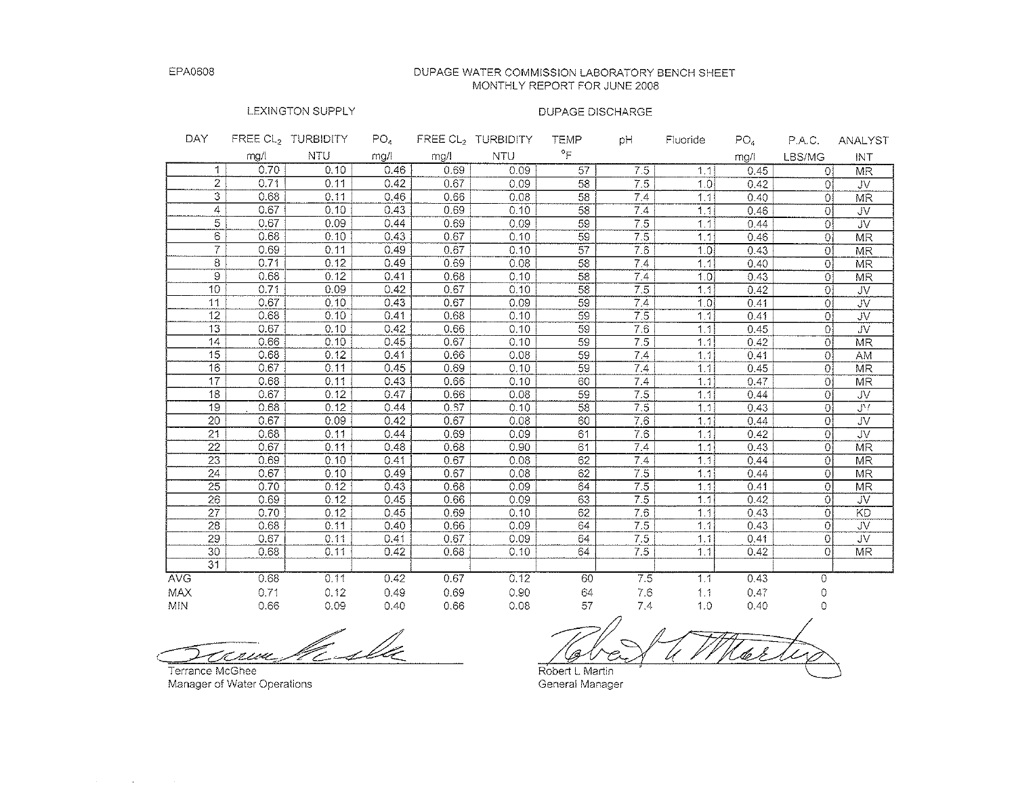#### DUPAGE WATER COMMISSION LABORATORY BENCH SHEET MONTHLY REPORT FOR JUNE 2008

### LEXINGTON SUPPLY

### DUPAGE DISCHARGE

| DAY.             |      | FREE CL, TURBIDITY | $PO_{4}$ |      | FREE CL, TURBIDITY | <b>TEMP</b>     | рH               | <b>Fluoride</b> | PO <sub>4</sub> | P.A.C.         | <b>ANALYST</b>          |
|------------------|------|--------------------|----------|------|--------------------|-----------------|------------------|-----------------|-----------------|----------------|-------------------------|
|                  | mg/l | <b>NTU</b>         | mg/l     | mg/l | <b>NTU</b>         | $\circ$ F       |                  |                 | mg/l            | LBS/MG         | INT                     |
| 1                | 0.70 | 0.10               | 0.46     | 0.69 | 0.09               | 57              | 7.5              | 1.1             | 0.45            | 0 <sup>i</sup> | MR                      |
| 2                | 0.71 | 0.11               | 0.42     | 0.67 | 0.09               | 58              | 7.5              | 1.01            | 0.42            | Ωİ             | <b>JV</b>               |
| 3                | 0.68 | 0.11               | 0.46     | 0.66 | 0.08               | 58              | 7.4              | 1.1             | 0.40            | 0I             | MR                      |
| 4                | 0.67 | 0.10               | 0.43     | 0.69 | 0.10               | 58              | 7.4              | 1, 1            | 0.46            | 01             | <b>JV</b>               |
| 5                | 0.67 | 0.09               | 0.44     | 0.69 | 0.09               | 59              | $\overline{7.5}$ | 1.1             | 0.44            | Οl             | $\overline{\mathsf{U}}$ |
| 6                | 0.68 | 0.10               | 0.43     | 0.67 | 0.10               | 59              | 7.5              | 1,1             | 0.46            | Οl             | <b>MR</b>               |
| 7                | 0.69 | 0.11               | 0.49     | 0.67 | 0.10               | $\overline{57}$ | 7.6              | 1.0             | 0.43            | Οl             | MR                      |
| 8                | 0.71 | 0.12               | 0.49     | 0.69 | 0.08               | 58              | 7.4              | 1,1             | 0.40            | Οl             | <b>MR</b>               |
| $\overline{9}$   | 0.68 | 0.12               | 0.41     | 0.68 | 0.10               | 58              | 7.4              | 1.0             | 0.43            | οl             | MR                      |
| 10               | 0.71 | 0.09               | 0.42     | 0.67 | 0.10               | 58              | 7.5              | 1.1             | 0.42            | $\overline{0}$ | JV                      |
| 11               | 0.67 | 0.10               | 0.43     | 0.67 | 0.09               | 59              | 7.4              | 1.01            | 0.41            | οl             | JV                      |
| 12               | 0.68 | 0.10               | 0.41     | 0.68 | 0.10               | 59              | 7.5              | 1.1             | 0.41            | Οl             | JV.                     |
| 13               | 0.67 | 0.10               | 0.42     | 0.66 | 0.10               | 59              | 7.6              | 1, 1            | 0.45            | Ωİ             | <b>JV</b>               |
| 14               | 0.66 | 0.10               | 0.45     | 0.67 | 0.10               | $\overline{59}$ | 7,5              | 1,1             | 0.42            | 0l             | <b>MR</b>               |
| 15 <sub>15</sub> | 0.68 | 0.12               | 0.41     | 0.66 | 0.08               | $\overline{59}$ | 7.4              | 1,1             | 0.41            | Οl             | AM                      |
| 16               | 0.67 | 0.11               | 0.45     | 0.69 | 0.10               | 59              | 7.4              | 1.1             | 0.45            | Ωĺ             | <b>MR</b>               |
| 17               | 0.68 | 0.11               | 0.43     | 0.66 | 0.10               | 60              | 7.4              | 1.1             | 0.47            | Οl             | <b>MR</b>               |
| 18               | 0.67 | 0.12               | 0.47     | 0.66 | 0.08               | $\overline{59}$ | 7.5              | 1.1             | 0.44            | Οl             | JV.                     |
| 19               | 0.68 | 0.12               | 0.44     | 0.57 | 0.10               | 58              | 7.5              | 1.11            | 0.43            | οl             | $J^{\prime}$            |
| 20               | 0.67 | 0.09               | 0.42     | 0.67 | 0.08               | 60              | 7.6              | 1.11            | 0.44            | $\Omega$       | JV                      |
| 21               | 0.68 | 0.11               | 0.44     | 0.69 | 0.09               | 61              | 7.6              | 1.1             | 0.42            | $\overline{0}$ | <b>JV</b>               |
| 22               | 0.67 | 0.11               | 0.48     | 0.68 | 0.90               | 61              | 7.4              | 1.1             | 0.43            | $\Omega$       | MR                      |
| 23               | 0.69 | 0.10               | 0.41     | 0.67 | 0.08               | 62              | 7.4              | 1, 1            | 0.44            | Οl             | <b>MR</b>               |
| $\overline{24}$  | 0.67 | 0.10               | 0.49     | 0.67 | 0.08               | 62              | 75               | 1.1             | 0.44            | $\Omega$       | MR                      |
| $\overline{25}$  | 0.70 | 0.12               | 0.43     | 0.68 | 0.09               | 64              | 7.5              | 1.1             | 0.41            | $\Omega$       | <b>MR</b>               |
| 26               | 0.69 | 0.12               | 0.45     | 0.66 | 0.09               | 63              | 7.5              | 1.1             | 0.42            | $\Omega$       | JV.                     |
| $\overline{27}$  | 0.70 | 0.12               | 0.45     | 0.69 | 0.10               | $\overline{62}$ | 7.6              | 1.1             | 0.43            | 0              | KD                      |
| 28               | 0.68 | 0.11               | 0.40     | 0.66 | 0.09               | 64              | 7.5              | 1.1             | 0.43            | $\Omega$       | JV                      |
| 29               | 0.67 | 0.11               | 0.41     | 0.67 | 0.09               | 64              | 7.5              | 1.1             | 0.41            | $\Omega$       | JV                      |
| 30               | 0.68 | 0.11               | 0.42     | 0.68 | 0.10               | 64              | 7.5              | 1.1             | 0.42            | $\Omega$       | MR                      |
| 31               |      |                    |          |      |                    |                 |                  |                 |                 |                |                         |
| <b>AVG</b>       | 0.68 | 0.11               | 0.42     | 0.67 | 0.12               | 60              | 7.5              | 1,1             | 0.43            | 0              |                         |
| MAX              | 0.71 | 0.12               | 0.49     | 0.69 | 0.90               | 64              | 7.6              | 1.1             | 0.47            | 0              |                         |
| <b>MIN</b>       | 0.66 | 0.09               | 0.40     | 0.66 | 0.08               | 57              | 7,4              | 1.0             | 0.40            | 0              |                         |

<u>Calle</u> rive

**Terrance McGhee Manager of Water Operations** 

 $\mathcal{A}(\mathcal{A})$  and  $\mathcal{A}(\mathcal{A})$  and  $\mathcal{A}(\mathcal{A})$ 

Robert L. Martin<br>Robert L. Martin<br>General Manager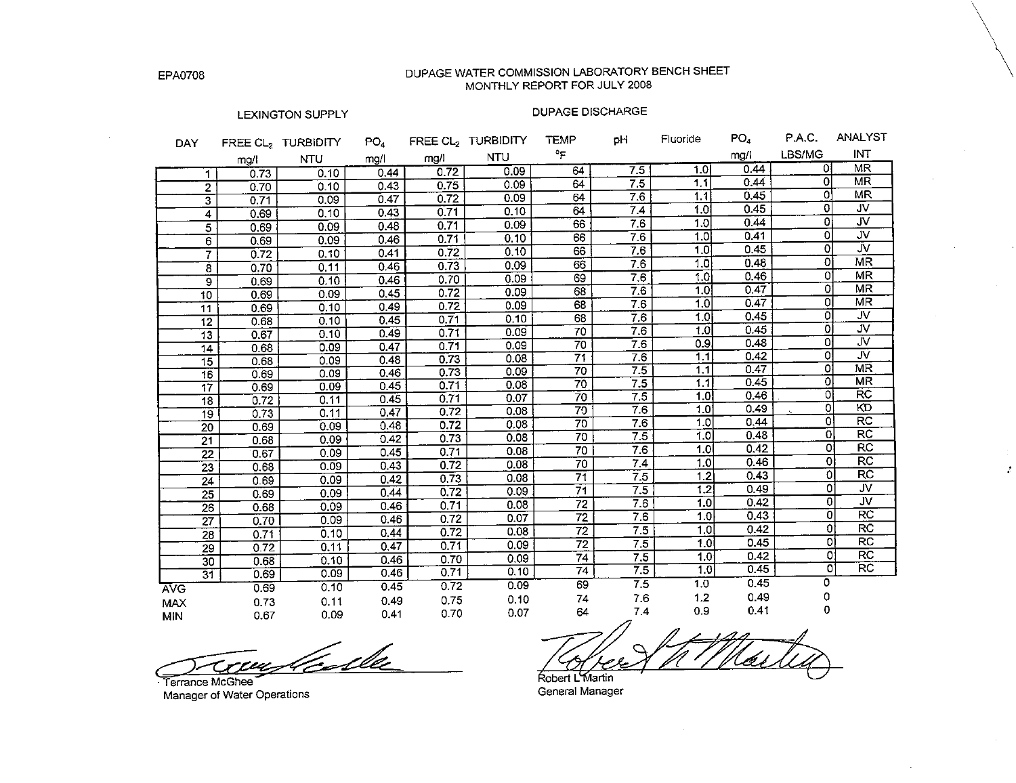DUPAGE WATER COMMISSION LABORATORY BENCH SHEET MONTHLY REPORT FOR JULY 2008

#### LEXINGTON SUPPLY

### **DUPAGE DISCHARGE**

 $\sim$ 

| <b>DAY</b>              |      | FREE CL2 TURBIDITY | PO <sub>4</sub> |      | FREE CL2 TURBIDITY | <b>TEMP</b>     | оH               | Fluoride         | PO4  | P.A.C.         | ANALYST                 |
|-------------------------|------|--------------------|-----------------|------|--------------------|-----------------|------------------|------------------|------|----------------|-------------------------|
|                         | mg/l | <b>NTU</b>         | mg/l            | mg/l | <b>NTU</b>         | °F              |                  |                  | mg/l | LBS/MG         | <b>INT</b>              |
| 1.                      | 0.73 | 0.10               | 0.44            | 0.72 | 0.09               | 64              | 7.5              | 1.0 <sub>l</sub> | 0.44 | οI             | MR.                     |
| $\overline{2}$          | 0.70 | 0.10               | 0.43            | 0.75 | 0.09               | 64              | 7.5              | 1.1              | 0.44 | 01             | MR                      |
| $\overline{\mathbf{3}}$ | 0.71 | 0.09               | 0.47            | 0.72 | 0.09               | 64              | 7.6              | 1.1              | 0.45 | οI             | MR                      |
| 4                       | 0.69 | 0.10               | 0.43            | 0.71 | 0.10               | 64              | 7.4              | 1.0 <sub>1</sub> | 0.45 | $\Omega$       | <b>JV</b>               |
| $\overline{\mathbf{5}}$ | 0.69 | 0.09               | 0.48            | 0.71 | 0.09               | 66              | 7.6              | 1.0              | 0.44 | οl             | <b>JV</b>               |
| $\overline{6}$          | 0.69 | 0.09               | 0.46            | 0.71 | 0.10               | $\overline{66}$ | 7.6              | 1.0              | 0.41 | o              | JV                      |
| $\overline{7}$          | 0.72 | 0.10               | 0.41            | 0.72 | 0.10               | 66              | 7.6              | 1.0              | 0.45 | οl             | JV.                     |
| 8                       | 0.70 | 0.11               | 0.46            | 0.73 | 0.09               | 66              | 7.6              | 1.0              | 0.48 | οI             | $\overline{\text{MR}}$  |
| 9                       | 0.69 | 0.10               | 0.46            | 0.70 | 0.09               | 69              | 7.6              | 1.0              | 0.46 | 01             | MR                      |
| 10                      | 0.69 | 0.09               | 0.45            | 0.72 | 0.09               | 68              | $\overline{7.6}$ | 1.0              | 0.47 | Ōİ             | <b>MR</b>               |
| 11                      | 0.69 | 0.10               | 0.49            | 0.72 | 0.09               | 68              | 76               | 1.0I             | 0.47 | οI             | ΜR                      |
| $\overline{12}$         | 0.68 | 0.10               | 0.45            | 0.71 | 0.10               | 68              | 7.6              | 1.0              | 0.45 | οI             | ٦V.                     |
| $\overline{13}$         | 0.67 | 0.10               | 0.49            | 0.71 | 0.09               | 70              | 7.6              | 1.0              | 0.45 | οI             | JV.                     |
| 14                      | 0.68 | 0.09               | 0.47            | 0.71 | 0.09               | 70              | 7.6              | 0.9              | 0.48 | ٥ł             | JV.                     |
| $\overline{15}$         | 0.68 | 0.09               | 0.48            | 0.73 | 0.08               | 71              | 7.6              | 1.1              | 0.42 | o!             | $\overline{\mathsf{w}}$ |
| 16                      | 0.69 | 0.09               | 0.46            | 0.73 | 0.09               | 70              | 7.5              | 1.1              | 0.47 | 01             | MR                      |
| $\overline{17}$         | 0.69 | 0.09               | 0.45            | 0.71 | 0.08               | 70              | 7.5              | 1.1              | 0.45 | οl             | <b>MR</b>               |
| 18                      | 0.72 | 0.11               | 0.45            | 0.71 | 0.07               | $\overline{70}$ | 7.5              | 1.0 <sub>1</sub> | 0.46 | Οl             | $\overline{\text{RC}}$  |
| $\overline{19}$         | 0.73 | 0.11               | 0.47            | 0.72 | 0.08               | 79              | 7.6              | 1.0              | 0.49 | $\overline{0}$ | KD                      |
| $\overline{20}$         | 0.69 | 0.09               | 0.48            | 0.72 | 0.08               | 70              | 7.6              | 1.0              | 0.44 | $\mathbf{O}$   | $\overline{RC}$         |
| $\overline{21}$         | 0.68 | 0.09               | 0.42            | 0.73 | 0.08               | 70              | 7.5              | 1.0              | 0.48 | $\overline{0}$ | RC                      |
| $\overline{22}$         | 0.67 | 0.09               | 0.45            | 0.71 | 0.08               | 70              | 7.6              | 1.0              | 0.42 | οl             | RC                      |
| $\overline{23}$         | 0.68 | 0.09               | 0.43            | 0.72 | 0.08               | 70              | 7.4              | 1.0              | 0.46 | $\overline{0}$ | $\overline{RC}$         |
| $\overline{24}$         | 0.69 | 0.09               | 0.42            | 0.73 | 0.08               | $\overline{71}$ | 7.5              | 1.2              | 0.43 | ol             | $\overline{RC}$         |
| 25                      | 0.69 | 0.09               | 0.44            | 0.72 | 0.09               | $\overline{71}$ | 7.5              | 1.2              | 0.49 | o              | $\overline{\mathsf{v}}$ |
| 26                      | 0.68 | 0.09               | 0.46            | 0.71 | 0.08               | 72              | 7.6              | 1.0              | 0.42 | 0l             | $\overline{\mathsf{v}}$ |
| 27                      | 0.70 | 0.09               | 0.46            | 0.72 | 0.07               | $\overline{72}$ | 7.6              | 1.0              | 0.43 | 0              | $\overline{RC}$         |
| 28                      | 0.71 | 0.10               | 0.44            | 0.72 | 0.08               | 72              | 7.5              | 1.0              | 0.42 | οt             | <b>RC</b>               |
| 29                      | 0.72 | 0.11               | 0.47            | 0.71 | 0.09               | 72              | $\overline{7.5}$ | 1.0 <sup>1</sup> | 0.45 | οi             | $\overline{RC}$         |
| 30                      | 0.68 | 0.10               | 0.46            | 0.70 | 0.09               | 74              | 7.5              | 1.0 <sub>1</sub> | 0.42 | ٥l             | $\overline{RC}$         |
| $\overline{31}$         | 0.69 | 0.09               | 0.46            | 0.71 | 0.10               | 74              | 7.5              | 1.0              | 0.45 | ٥l             | <b>RC</b>               |
| <b>AVG</b>              | 0.69 | 0.10               | 0.45            | 0.72 | 0.09               | 69              | $\overline{7.5}$ | 1.0              | 0.45 | 0              |                         |
| <b>MAX</b>              | 0.73 | 0.11               | 0.49            | 0.75 | 0.10               | 74              | 7.6              | 1.2              | 0.49 | 0              |                         |
| MIN                     | 0.67 | 0.09               | 0.41            | 0.70 | 0.07               | 64              | 7.4              | 0.9              | 0.41 | 0              |                         |

Terrance McGhee Manager of Water Operations

Robert L'Martin General Manager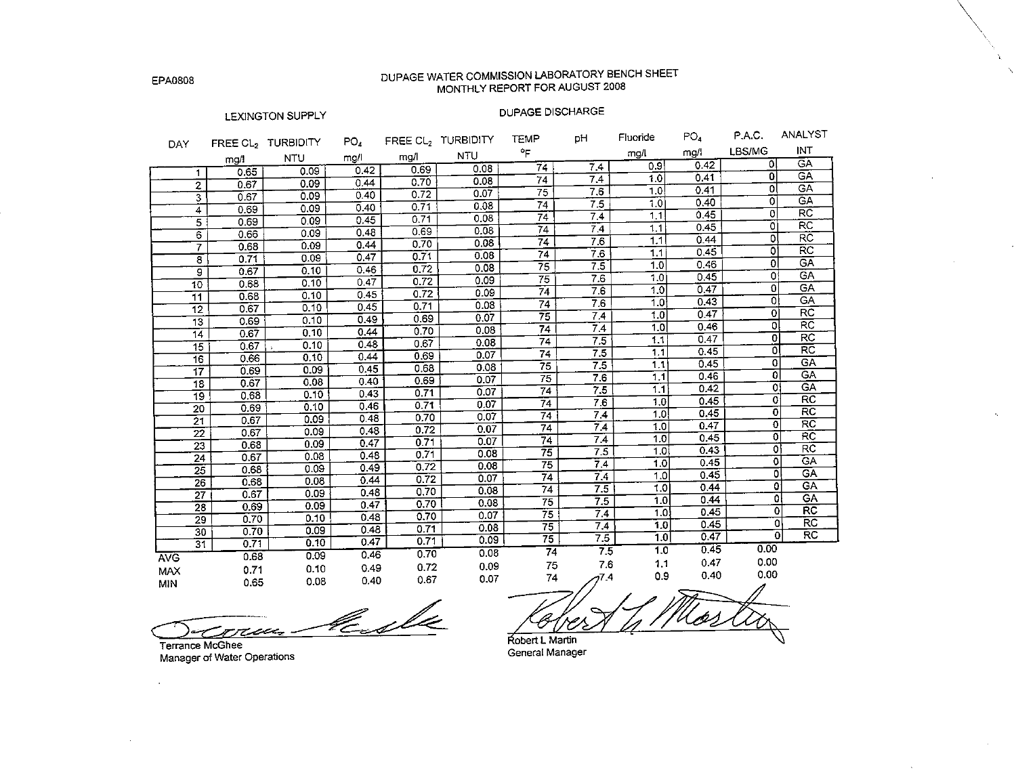## DUPAGE WATER COMMISSION LABORATORY BENCH SHEET MONTHLY REPORT FOR AUGUST 2008

### LEXINGTON SUPPLY

### DUPAGE DISCHARGE

¥.

**Contract Contract** 

| <b>DAY</b>                       |      | FREE CL <sub>2</sub> TURBIDITY | PO <sub>4</sub> |      | FREE CL2 TURBIDITY | <b>TEMP</b>     | pH               | Fluoride         | PO <sub>4</sub> | P.A.C.                    | ANALYS <sub>1</sub>      |
|----------------------------------|------|--------------------------------|-----------------|------|--------------------|-----------------|------------------|------------------|-----------------|---------------------------|--------------------------|
|                                  | mg/l | <b>NTU</b>                     | mg/l            | mg/l | <b>NTU</b>         | °F              |                  | mg/l             | mg/l            | LBS/MG                    | INT                      |
|                                  | 0.65 | 0.09                           | 0.42            | 0.69 | 0.08               | 74              | $\overline{7.4}$ | 0.9              | 0.42            | σI                        | CA                       |
| 1.                               | 0.67 | 0.09                           | 0.44            | 0.70 | 0.08               | 74              | 7.4              | 1.0              | 0.41            | οl                        | GÄ                       |
| $\overline{2}$<br>$\overline{3}$ | 0.67 | 0.09                           | 0.40            | 0.72 | 0.07               | $\overline{75}$ | 7.6              | 1.0              | 0.41            | οI                        | $\overline{CA}$          |
|                                  | 0.69 | 0.09                           | 0.40            | 0.71 | 0.08               | 74              | 7.5              | 1.0              | 0.40            | $\Omega$                  | GĀ                       |
| 4<br>5                           | 0.69 | 0.09                           | 0.45            | 0.71 | 0.08               | $\overline{74}$ | 7.4              | 1.1              | 0.45            | $\overline{0}$            | $\overline{RC}$          |
| $\overline{6}$                   | 0.66 | 0.09                           | 0.48            | 0.69 | 0.08               | 74              | 7.4              | 1.1              | 0.45            | ٥l                        | $\overline{\mathsf{RC}}$ |
| 7                                | 0.68 | 0.09                           | 0.44            | 0.70 | 0.08               | 74              | 7.6              | 1.1              | 0.44            | οl                        | $\overline{\text{RC}}$   |
| $\overline{\epsilon}$            | 0.71 | 0.09                           | 0.47            | 0.71 | 0.08               | 74              | 7.6              | 1.1              | 0.45            | $\overline{\mathfrak{o}}$ | $\overline{\text{RC}}$   |
| 9                                | 0.67 | 0.10                           | 0.46            | 0.72 | 0.08               | $\overline{75}$ | $\overline{7.5}$ | 1.0              | 0.46            | 0                         | GA                       |
| $\overline{10}$                  | 0.68 | 0.10                           | 0.47            | 0.72 | 0.09               | $\overline{75}$ | 7.6              | 1.0              | 0.45            | 0                         | <b>GA</b>                |
| 11                               | 0.68 | 0.10                           | 0.45            | 0.72 | 0.09               | 74              | 7.6              | 1.0              | 0.47            | $\overline{0}$            | GA                       |
| $\overline{12}$                  | 0.67 | 0.10                           | 0.45            | 0.71 | 0.08               | $\overline{74}$ | 7.6              | 1.0              | 0.43            | $\Omega$                  | <b>GA</b>                |
| $\overline{13}$                  | 0.69 | 0.10                           | 0.49            | 0.69 | 0.07               | $\overline{75}$ | 7.4              | 1.0              | 0.47            | $\bf{0}$                  | <b>RC</b>                |
| $\overline{14}$                  | 0.67 | 0.10                           | 0.44            | 0.70 | 0.08               | $\overline{74}$ | 7.4              | $\overline{1.0}$ | 0.46            | 0                         | <b>RC</b>                |
| 15                               | 0.67 | 0.10                           | 0.48            | 0.67 | 0.08               | $\overline{74}$ | 7.5              | 1.1              | 0.47            | 0                         | <b>RC</b>                |
| 16                               | 0.66 | 0.10                           | 0.44            | 0.69 | 0.07               | $\overline{74}$ | 7.5              | 1.1              | 0.45            | 0                         | $\overline{RC}$          |
| 17                               | 0.69 | 0.09                           | 0.45            | 0.68 | 0.08               | $\overline{75}$ | $\overline{75}$  | 1.1              | 0.45            | 0                         | <b>GA</b>                |
| $\overline{18}$                  | 0.67 | 0.08                           | 0.40            | 0.69 | 0.07               | $\overline{75}$ | 7.6              | 1.1              | 0.46            | 0                         | GA.                      |
| 19                               | 0.68 | 0.10                           | 0.43            | 0.71 | 0.07               | $\overline{74}$ | 7.5              | 1.1              | 0.42            | ٥I                        | <b>GA</b>                |
| 20                               | 0.69 | 0.10                           | 0.46            | 0.71 | 0.07               | $\overline{74}$ | 7.6              | 1.0              | 0.45            | 0                         | $\overline{RC}$          |
| $\overline{21}$                  | 0.67 | 0.09                           | 0.48            | 0.70 | 0.07               | 74              | 7.4              | 1.0              | 0.45            | Ö                         | $\overline{RC}$          |
| $\overline{22}$                  | 0.67 | 0.09                           | 0.48            | 0.72 | 0.07               | 74              | 7.4              | $\overline{1.0}$ | 0.47            | 0<br>$\Omega$             | RC<br>RC                 |
| 23                               | 0.68 | 0.09                           | 0.47            | 0.71 | 0.07               | 74              | 7.4              | 1.0              | 0.45            | ٥l                        | RC                       |
| 24                               | 0.67 | 0.08                           | 0.48            | 0.71 | 0.08               | $\overline{75}$ | 7.5              | 1.0              | 0.43            | ٥I                        | <b>GA</b>                |
| $\overline{25}$                  | 0.68 | 0.09                           | 0.49            | 0,72 | 0.08               | 75              | $\overline{7.4}$ | 1.0              | 0.45            | ٥l                        | $\overline{G}$ A         |
| 26                               | 0.68 | 0.08                           | 0.44            | 0.72 | 0.07               | $\overline{74}$ | $\overline{7.4}$ | $\overline{1.0}$ | 0.45            | 0                         | GAT                      |
| $\overline{27}$                  | 0.67 | 0.09                           | 0.48            | 0.70 | 0.08               | $\overline{74}$ | 7.5              | 1,0              | 0.44<br>0.44    | 0                         | $\overline{G}A$          |
| $\overline{28}$                  | 0.69 | 0.09                           | 0.47            | 0.70 | 0.08               | 75              | 7.5              | $\overline{1.0}$ | 0.45            | 0                         | $\overline{RC}$          |
| $\overline{29}$                  | 0.70 | 0.10                           | 0.48            | 0.70 | 0.07               | $\overline{75}$ | 7.4              | 1.0              | 0.45            |                           | <b>RC</b><br>ΩI          |
| 30                               | 0.70 | 0.09                           | 0.48            | 0.71 | 0.08               | 75              | 7.4              | 1.0              | 0.47            |                           | RC<br>$\overline{0}$     |
| $\overline{31}$                  | 0.71 | 0.10                           | 0.47            | 0.71 | 0.09               | $\overline{75}$ | 7.5              | 7.0              | 0.45            | 0.00                      |                          |
| <b>AVC</b>                       | 0.68 | 0.09                           | 0.46            | 0.70 | 0.08               | $\overline{74}$ | 7.5              | 1.0              |                 | 0.00                      |                          |
| <b>MAX</b>                       | 0.71 | 0.10                           | 0.49            | 0.72 | 0.09               | 75              | 7.6              | 1.1              | 0.47            |                           |                          |
| MIN                              | 0.65 | 0.08                           | 0.40            | 0.67 | 0.07               | 74              | $7^{7.4}$        | 0.9              | 0.40            | 0.00                      |                          |
|                                  |      |                                |                 |      |                    |                 |                  |                  |                 | A                         |                          |

Kendle reca.

Terrance McGhee Manager of Water Operations

 $\mathbf{r}$ 

Robert L Martin General Manager

EPA0808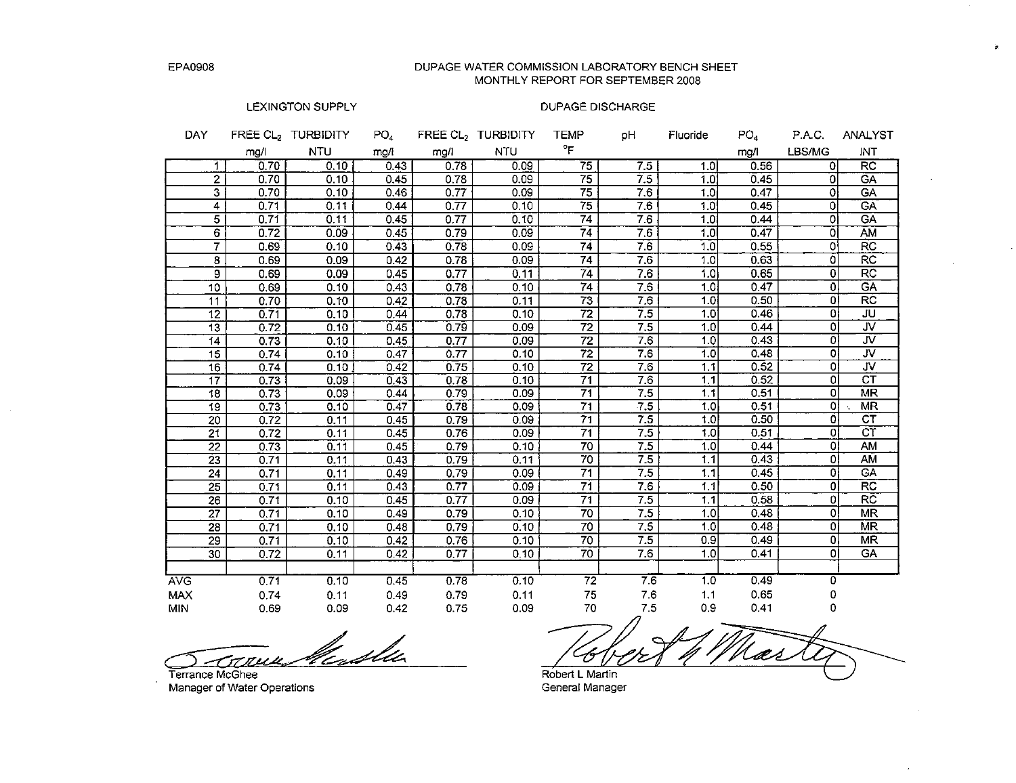#### DUPAGE WATER COMMISSION LABORATORY BENCH SHEET MONTHLY REPORT FOR SEPTEMBER 2008

### LEXINGTON SUPPLY

### **DUPAGE DISCHARGE**

| <b>DAY</b> |                 |      | FREE CL <sub>2</sub> TURBIDITY | PO <sub>4</sub> |      | FREE CL <sub>2</sub> TURBIDITY | <b>TEMP</b>     | рH               | Fluoride         | PO <sub>4</sub> | P.A.C.         | <b>ANALYST</b>          |
|------------|-----------------|------|--------------------------------|-----------------|------|--------------------------------|-----------------|------------------|------------------|-----------------|----------------|-------------------------|
|            |                 | mg/l | <b>NTU</b>                     | mg/i            | mg/l | <b>NTU</b>                     | °F              |                  |                  | mg/l            | LBS/MG         | <b>INT</b>              |
|            | 1.              | 0.70 | 0.10                           | 0.43            | 0.78 | 0.09                           | $\overline{75}$ | 7.5              | 1.0              | 0.56            | οl             | $\overline{RC}$         |
|            | 2               | 0.70 | 0.10                           | 0.45            | 0.78 | 0.09                           | 75              | 7.5              | 1.0              | 0.45            | 0l             | <b>GA</b>               |
|            | 3               | 0.70 | 0.10                           | 0.46            | 0.77 | 0.09                           | 75              | 7.6              | 1.0 <sub>i</sub> | 0.47            | ٥I             | <b>GA</b>               |
|            | 4               | 0.71 | 0.11                           | 0.44            | 0.77 | 0.10                           | 75              | 7.6              | 1.0              | 0.45            | οł             | <b>GA</b>               |
|            | 5               | 0.71 | 0.11                           | 0.45            | 0.77 | 0.10                           | 74              | 7.6              | 1.0              | 0.44            | Οİ             | <b>GA</b>               |
|            | $\overline{6}$  | 0.72 | 0.09                           | 0.45            | 0.79 | 0.09                           | 74              | 7.6              | 1.0              | 0.47            | οI             | AM                      |
|            | 7               | 0.69 | 0.10                           | 0.43            | 0.78 | 0.09                           | $\overline{74}$ | 76               | 1.0              | 0.55            | ٥I             | $\overline{RC}$         |
|            | 8               | 0.69 | 0.09                           | 0.42            | 0.78 | 0.09                           | $\overline{74}$ | $\overline{7.6}$ | 1.0              | 0.63            | ٥              | $\overline{RC}$         |
|            | 9               | 0.69 | 0.09                           | 0.45            | 0.77 | 0.11                           | $\overline{74}$ | 7.6              | 1.0              | 0.65            | $\overline{0}$ | $\overline{RC}$         |
|            | 10              | 0.69 | 0.10                           | 0.43            | 0.78 | 0.10                           | 74              | 7.6              | 1.01             | 0.47            | Οl             | <b>GA</b>               |
|            | 11              | 0.70 | 0.10                           | 0.42            | 0.78 | 0.11                           | $\overline{73}$ | 7.6              | 1.0              | 0.50            | $\Omega$       | RC                      |
|            | 12              | 0.71 | 0.10                           | 0.44            | 0.78 | 0.10                           | $\overline{72}$ | 7.5              | 1.0              | 0.46            | 0l             | JU                      |
|            | 13              | 0.72 | 0.10                           | 0.45            | 0.79 | 0.09                           | 72              | 7.5              | 1.0              | 0.44            | 0              | JV.                     |
|            | 14              | 0.73 | 0.10                           | 0.45            | 0.77 | 0.09                           | $\overline{72}$ | 7.6              | 1.0              | 0.43            | 0              | JV.                     |
|            | $\overline{15}$ | 0.74 | 0.10                           | 0.47            | 0.77 | 0.10                           | $\overline{72}$ | 7.6              | 1.0              | 0.48            | 0              | JV                      |
|            | 16              | 0.74 | 0.10                           | 0.42            | 0.75 | 0.10                           | $\overline{72}$ | 7.6              | 1.1              | 0.52            | $\Omega$       | $\overline{\mathsf{v}}$ |
|            | $\overline{17}$ | 0.73 | 0.09                           | 0.43            | 0.78 | 0.10                           | 71              | 7.6              | 1.1              | 0.52            | οl             | $\overline{\text{CT}}$  |
|            | 18              | 0.73 | 0.09                           | 0.44            | 0.79 | 0.09                           | 71              | 7.5              | 1.1              | 0.51            | O.             | <b>MR</b>               |
|            | 19              | 0.73 | 0.10                           | 0.47            | 0.78 | 0.09                           | 71              | $\overline{7.5}$ | 1.0              | 0.51            | $\Omega$       | <b>MR</b>               |
|            | 20              | 0.72 | 0.11                           | 0.45            | 0.79 | 0.09                           | 71              | 7.5              | 1.0              | 0.50            | 0              | $\overline{c}$          |
|            | 21              | 0.72 | 0.11                           | 0.45            | 0.76 | 0.09                           | 71              | 7.5              | 1.0              | 0.51            | 0l             | $\overline{\text{CT}}$  |
|            | 22              | 0.73 | 0.11                           | 0.45            | 0.79 | 0.10                           | 70              | 7.5              | 1.0              | 0.44            | οl             | AM                      |
|            | $\overline{23}$ | 0.71 | 0.11                           | 0.43            | 0.79 | 0.11                           | $\overline{70}$ | 7.5              | 1.1              | 0.43            | οl             | AM                      |
|            | $\overline{24}$ | 0.71 | 0.11                           | 0.49            | 0.79 | 0.09                           | $\overline{71}$ | 7.5              | 1.1              | 0.45            | $\Omega$       | GA                      |
|            | 25              | 0.71 | 0.11                           | 0.43            | 0.77 | 0.09                           | 71              | 7.6              | 1.1              | 0.50            | 0              | $\overline{RC}$         |
|            | $\overline{26}$ | 0.71 | 0.10                           | 0.45            | 0.77 | 0.09                           | 71              | 7.5              | 1.1              | 0.58            | 0              | $R\overline{C}$         |
|            | $\overline{27}$ | 0.71 | 0.10                           | 0.49            | 0.79 | 0.10                           | $\overline{70}$ | 7.5              | 1.0              | 0.48            | 0l             | <b>MR</b>               |
|            | 28              | 0.71 | 0.10                           | 0.48            | 0.79 | 0.10                           | $\overline{70}$ | 7.5              | 1.0              | 0.48            | 0l             | <b>MR</b>               |
|            | 29              | 0.71 | 0.10                           | 0.42            | 0.76 | 0.10                           | 70              | 7.5              | 0.9              | 0.49            | $\Omega$       | <b>MR</b>               |
|            | 30              | 0.72 | 0.11                           | 0.42            | 0.77 | 0.10                           | 70              | 7.6              | 1.0              | 0.41            | Ωl             | $\overline{GA}$         |
|            |                 |      |                                |                 |      |                                |                 |                  |                  |                 |                |                         |
| <b>AVG</b> |                 | 0.71 | 0.10                           | 0.45            | 0.78 | 0.10                           | 72              | 76               | 1.0              | 0.49            | 0              |                         |
| <b>MAX</b> |                 | 0.74 | 0.11                           | 0.49            | 0.79 | 0.11                           | 75              | 7.6              | 1.1              | 0.65            | 0              |                         |
| MIN        |                 | 0.69 | 0.09                           | 0.42            | 0.75 | 0.09                           | 70              | 7.5              | 0.9              | 0.41            | 0              |                         |

Terrance McGhee

Manager of Water Operations

Mar Robert L Martin

à.

General Manager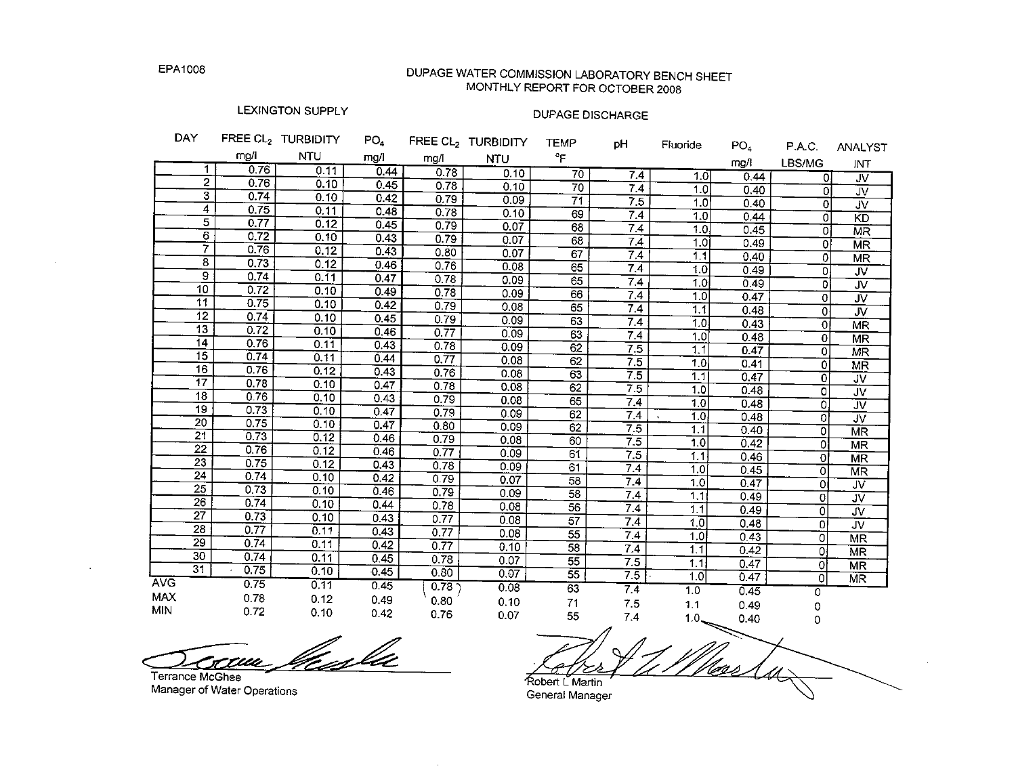$B = 1.5$ 

 $\sim 10^7$ 

 $\epsilon$ 

# DUPAGE WATER COMMISSION LABORATORY BENCH SHEET MONTHLY REPORT FOR OCTOBER 2008

# LEXINGTON SUPPLY

المستحدث والمستحدث والمست

 $m = -1$ 

### **DUPAGE DISCHARGE**

| <b>DAY</b>               |                         |              | <b>FREE UL2 I URBIDITY</b> | PO4  |      | FREE CL <sub>2</sub> TURBIDITY | <b>TEMP</b>     | pН              | Fluoride         | PO <sub>4</sub> | P.A.C.                    | ANALYST                           |
|--------------------------|-------------------------|--------------|----------------------------|------|------|--------------------------------|-----------------|-----------------|------------------|-----------------|---------------------------|-----------------------------------|
|                          |                         | mg/i         | <b>NTU</b>                 | mg/l | mg/l | <b>NTU</b>                     | °F              |                 |                  | mq/l            | LBS/MG                    | INT                               |
|                          | 1                       | 0.76         | 0.11                       | 0.44 | 0.78 | 0.10                           | 70              | 7.4             | 1.0              | 0.44            | 0l                        | JV                                |
|                          | $\overline{2}$          | 0.76         | 0.10                       | 0.45 | 0.78 | 0.10                           | 70              | 7.4             | 1.0              | 0.40            | οI                        | $\overline{\mathsf{v}}$           |
|                          | $\overline{\mathbf{3}}$ | 0.74         | 0.10                       | 0.42 | 0.79 | 0.09                           | 71              | 75              | 1.0              | 0.40            | ol                        | $\overline{\mathsf{v}}$           |
|                          | 4                       | 0.75         | 0.11                       | 0.48 | 0.78 | 0.10                           | 69              | 7.4             | $\overline{1.0}$ | 0.44            | οl                        | KD                                |
|                          | 5                       | 0.77         | 0.12                       | 0.45 | 0.79 | 0.07                           | 68              | 7.4             | 1.0              | 0.45            | οl                        | MR                                |
|                          | $\overline{6}$          | 0.72         | 0.10                       | 0.43 | 0.79 | 0.07                           | 68              | 7.4             | 1.0              | 0.49            | ٥Ι                        | <b>MR</b>                         |
|                          | $\overline{\tau}$       | 0.76         | 0.12                       | 0.43 | 0.80 | 0.07                           | 67              | 7.4             | 1.1              | 0.40            | 0                         | MR                                |
|                          | $\overline{8}$          | 0.73         | 0.12                       | 0.46 | 0.76 | 0.08                           | 65              | 7.4             | 1.0              | 0.49            | 0                         | $\overline{\mathsf{W}}$           |
|                          | $\overline{9}$          | 0.74         | 0.11                       | 0.47 | 0.78 | 0.09                           | 65              | 7.4             | 1.0              | 0.49            | ol                        | $\overline{\mathsf{v}}$           |
|                          | $\overline{10}$         | 0.72         | 0.10                       | 0.49 | 0.78 | 0.09                           | 66              | $7\overline{4}$ | 1.0              | 0.47            | $\overline{0}$            | JV                                |
|                          | 11                      | 0.75         | 0.10                       | 0.42 | 0.79 | 0.08                           | 65              | 7.4             | 1.1              | 0.48            | $\overline{0}$            | $\overline{\mathsf{w}}$           |
|                          | 12 <sub>2</sub>         | 0.74         | 0.10                       | 0.45 | 0.79 | 0.09                           | 63              | 7.4             | 1.0 <sub>1</sub> | 0.43            | 하                         | <b>MR</b>                         |
|                          | 13 <sup>°</sup>         | 0.72         | 0.10                       | 0.46 | 0.77 | 0.09                           | 63              | 7.4             | 1.0              | 0.48            | $\Omega$                  | MR                                |
|                          | 14                      | 0.76         | 0.11                       | 0.43 | 0.78 | 0.09                           | 62              | 7.5             | 1.1              | 0.47            | 0                         | MR                                |
|                          | 15                      | 0.74         | 0.11                       | 0.44 | 0.77 | 0.08                           | 62              | 7.5             | 1.0 <sub>i</sub> | 0.41            | $\mathbf{0}$              | $M\overline{R}$                   |
|                          | 16                      | 0.76         | 0.12                       | 0.43 | 0.76 | 0.08                           | 63              | 7.5             | 1.1              | 0.47            | $\overline{0}$            | <b>JV</b>                         |
|                          | 17                      | 0.78         | 0.10                       | 0.47 | 0.78 | 0.08                           | 62              | 7.5             | 1.0              | 0.48            | $\overline{\mathfrak{o}}$ | <b>JV</b>                         |
|                          | 18                      | 0.76         | 0.10                       | 0.43 | 0.79 | 0.08                           | 65              | 7.4             | 1.0              | 0.48            | Ō                         | JV                                |
|                          | 19                      | 0.73         | 0.10                       | 0.47 | 0.79 | 0.09                           | 62              | 7.4             | 1.0              | 0.48            | $\overline{0}$            | $\overline{\mathsf{J}\mathsf{V}}$ |
|                          | 20<br>21                | 0.75         | 0.10                       | 0.47 | 0.80 | 0.09                           | 62              | 7.5             | 1.1              | 0.40            | $\Omega$                  | $\overline{\text{MR}}$            |
|                          | $\overline{22}$         | 0.73         | 0.12                       | 0.46 | 0.79 | 0.08                           | 60              | 7.5             | 1.0              | 0.42            | ٥l                        | <b>MR</b>                         |
|                          | $\overline{23}$         | 0.76         | 0.12                       | 0.46 | 0.77 | 0.09                           | 61              | 7.5             | 1.1 <sub>1</sub> | 0.46            | 0                         | <b>MR</b>                         |
|                          | 24                      | 0.75         | 0.12                       | 0.43 | 0.78 | 0.09                           | 61              | 7.4             | 1.0              | 0.45            | 0                         | <b>MR</b>                         |
|                          | 25                      | 0.74<br>0.73 | 0.10                       | 0.42 | 0.79 | 0.07                           | $\overline{58}$ | 7.4             | 10               | 0.47            | 0I                        | <b>JV</b>                         |
|                          | $\overline{26}$         | 0.74         | 0.10                       | 0.46 | 0.79 | 0.09                           | 58              | 7,4             | 1.1              | 0.49            | 0                         | JV                                |
|                          | $\overline{27}$         |              | 0.10                       | 0.44 | 0.78 | 0.08                           | 56              | 7.4             | 1.1              | 0.49            | 0                         | JV.                               |
|                          | $\overline{28}$         | 0.73<br>0.77 | 0.10                       | 0.43 | 0.77 | 0.08                           | 57              | 7.4             | 1.0              | 0.48            | οl                        | $\overline{\mathsf{v}}$           |
|                          | 29                      | 0.74         | 0.11                       | 0.43 | 0.77 | 0.08                           | $\overline{55}$ | 7.4             | 1.0 <sub>l</sub> | 0.43            | Οl                        | <b>MR</b>                         |
|                          | 30                      |              | 0.11                       | 0.42 | 0.77 | 0.10                           | $\overline{58}$ | 7.4             | 1.1              | 0.42            | ٥I                        | <b>MR</b>                         |
|                          | $\overline{31}$         | 0.74         | 0.11                       | 0.45 | 0.78 | 0.07                           | 55              | 7.5             | 1.1              | 0.47            | 0                         | <b>MR</b>                         |
| <b>AVG</b>               |                         | 0.75         | 0.10                       | 0.45 | 0.80 | 0.07                           | $\overline{55}$ | 7.5             | 1.0              | 0.47            | 0                         | MR                                |
|                          |                         | 0.75         | 0.11                       | 0.45 | 0.78 | 0.08                           | 63              | 7.4             | 1.0              | 0.45            | 0                         |                                   |
| <b>MAX</b><br><b>MIN</b> |                         | 0.78         | 0.12                       | 0.49 | 0.80 | 0.10                           | 71              | 7.5             | 1.1              | 0.49            | 0                         |                                   |
|                          |                         | 0.72         | 0.10                       | 0.42 | 0.76 | 0.07                           | 55              | 7.4             | $1.0 -$          | 0.40            | 0                         |                                   |

<u>ruu filesla</u> Ot

Terrance McGhee Manager of Water Operations

<u>Neer (u ;</u> Robert L Martin General Manager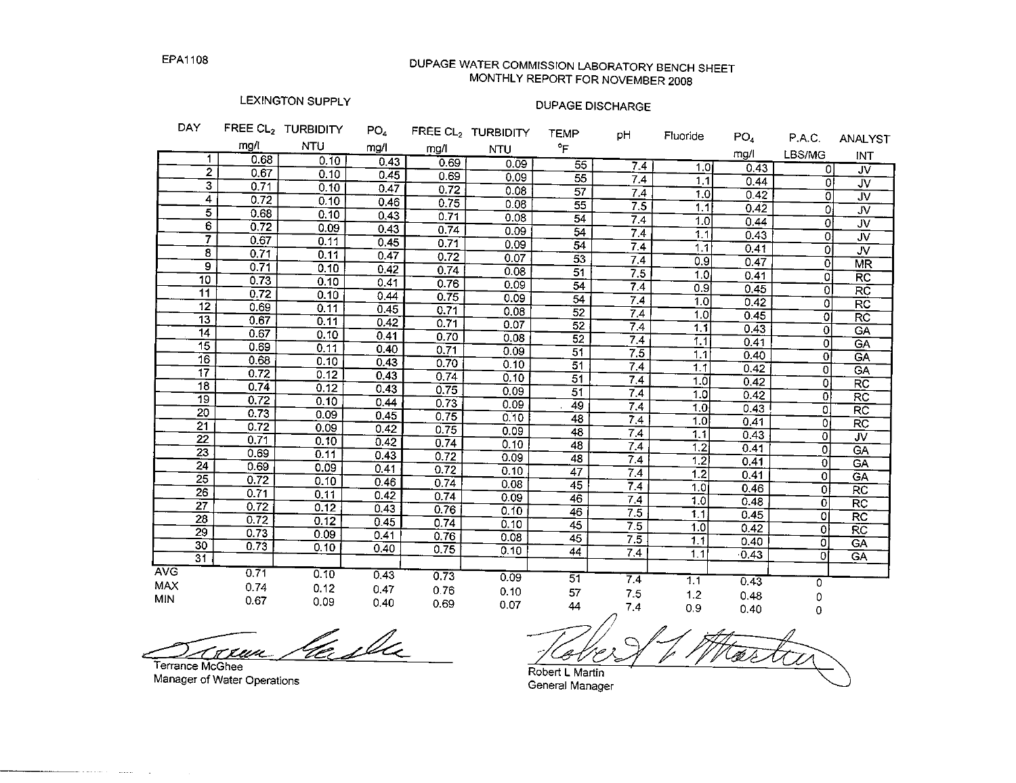# DUPAGE WATER COMMISSION LABORATORY BENCH SHEET MONTHLY REPORT FOR NOVEMBER 2008

### LEXINGTON SUPPLY

# **DUPAGE DISCHARGE**

| P.A.C.<br>LBS/MG<br>0<br>Οl | ANALYST<br>INT<br>JV<br>JV                                                                                                                                                                                                                                        |
|-----------------------------|-------------------------------------------------------------------------------------------------------------------------------------------------------------------------------------------------------------------------------------------------------------------|
|                             |                                                                                                                                                                                                                                                                   |
|                             |                                                                                                                                                                                                                                                                   |
|                             |                                                                                                                                                                                                                                                                   |
|                             |                                                                                                                                                                                                                                                                   |
|                             | <b>JV</b>                                                                                                                                                                                                                                                         |
|                             | <b>JV</b>                                                                                                                                                                                                                                                         |
|                             | JV                                                                                                                                                                                                                                                                |
|                             | <b>JV</b>                                                                                                                                                                                                                                                         |
|                             | $J\overline{V}$                                                                                                                                                                                                                                                   |
|                             | <b>MR</b>                                                                                                                                                                                                                                                         |
|                             | R <sub>C</sub>                                                                                                                                                                                                                                                    |
|                             | $\overline{RC}$                                                                                                                                                                                                                                                   |
|                             | RC                                                                                                                                                                                                                                                                |
|                             | $R\overline{C}$                                                                                                                                                                                                                                                   |
|                             | GA                                                                                                                                                                                                                                                                |
|                             | CA                                                                                                                                                                                                                                                                |
|                             | GA                                                                                                                                                                                                                                                                |
|                             | GA                                                                                                                                                                                                                                                                |
|                             | <b>RC</b>                                                                                                                                                                                                                                                         |
|                             | <b>RC</b>                                                                                                                                                                                                                                                         |
|                             | <b>RC</b>                                                                                                                                                                                                                                                         |
|                             | <b>RC</b>                                                                                                                                                                                                                                                         |
|                             | <b>JV</b>                                                                                                                                                                                                                                                         |
|                             | GA                                                                                                                                                                                                                                                                |
|                             | GA                                                                                                                                                                                                                                                                |
|                             | GA                                                                                                                                                                                                                                                                |
|                             | $\overline{RC}$                                                                                                                                                                                                                                                   |
|                             | <b>RC</b>                                                                                                                                                                                                                                                         |
|                             | <b>RC</b>                                                                                                                                                                                                                                                         |
|                             | $\overline{\text{RC}}$                                                                                                                                                                                                                                            |
|                             | <b>GA</b>                                                                                                                                                                                                                                                         |
|                             | <b>GA</b>                                                                                                                                                                                                                                                         |
|                             |                                                                                                                                                                                                                                                                   |
|                             |                                                                                                                                                                                                                                                                   |
|                             |                                                                                                                                                                                                                                                                   |
|                             | 0<br>O.<br>0<br>O.<br>οI<br>$\Omega$<br>οł<br>ΩI<br>٥l<br>οl<br>$\Omega$<br>0<br>Οl<br>0<br>0l<br>οł<br>0.<br>οl<br>0<br>$\mathbf{0}$<br>$\overline{0}$<br>$\circ$<br>ol<br>$\overline{0}$<br>$\circ$<br>$\mathbf 0$<br>0<br>$\Omega$<br>$\overline{0}$<br>0<br>0 |

<u>lasla</u> <u>tau </u>

Terrance McGhee Manager of Water Operations

Robert L Martin

General Manager